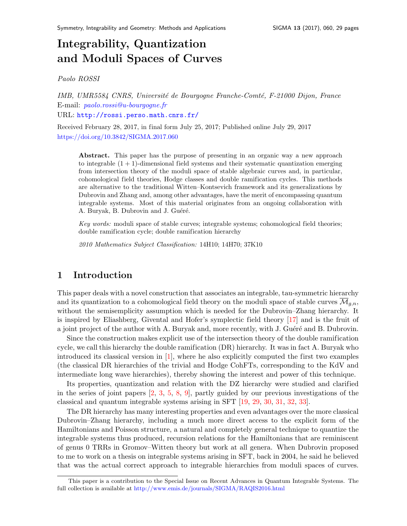# Integrability, Quantization and Moduli Spaces of Curve[s](#page-0-0)

Paolo ROSSI

IMB, UMR5584 CNRS, Université de Bourgogne Franche-Comté, F-21000 Dijon, France E-mail: <paolo.rossi@u-bourgogne.fr> URL: <http://rossi.perso.math.cnrs.fr/>

Received February 28, 2017, in final form July 25, 2017; Published online July 29, 2017 <https://doi.org/10.3842/SIGMA.2017.060>

Abstract. This paper has the purpose of presenting in an organic way a new approach to integrable  $(1 + 1)$ -dimensional field systems and their systematic quantization emerging from intersection theory of the moduli space of stable algebraic curves and, in particular, cohomological field theories, Hodge classes and double ramification cycles. This methods are alternative to the traditional Witten–Kontsevich framework and its generalizations by Dubrovin and Zhang and, among other advantages, have the merit of encompassing quantum integrable systems. Most of this material originates from an ongoing collaboration with A. Buryak, B. Dubrovin and J. Guéré.

Key words: moduli space of stable curves; integrable systems; cohomological field theories; double ramification cycle; double ramification hierarchy

2010 Mathematics Subject Classification: 14H10; 14H70; 37K10

### 1 Introduction

This paper deals with a novel construction that associates an integrable, tau-symmetric hierarchy and its quantization to a cohomological field theory on the moduli space of stable curves  $\overline{\mathcal{M}}_{q,n}$ , without the semisemplicity assumption which is needed for the Dubrovin–Zhang hierarchy. It is inspired by Eliashberg, Givental and Hofer's symplectic field theory [\[17\]](#page-28-0) and is the fruit of a joint project of the author with A. Buryak and, more recently, with J. Guéré and B. Dubrovin.

Since the construction makes explicit use of the intersection theory of the double ramification cycle, we call this hierarchy the double ramification (DR) hierarchy. It was in fact A. Buryak who introduced its classical version in [\[1\]](#page-27-0), where he also explicitly computed the first two examples (the classical DR hierarchies of the trivial and Hodge CohFTs, corresponding to the KdV and intermediate long wave hierarchies), thereby showing the interest and power of this technique.

Its properties, quantization and relation with the DZ hierarchy were studied and clarified in the series of joint papers  $[2, 3, 5, 8, 9]$  $[2, 3, 5, 8, 9]$  $[2, 3, 5, 8, 9]$  $[2, 3, 5, 8, 9]$  $[2, 3, 5, 8, 9]$  $[2, 3, 5, 8, 9]$  $[2, 3, 5, 8, 9]$  $[2, 3, 5, 8, 9]$ , partly guided by our previous investigations of the classical and quantum integrable systems arising in SFT [\[19,](#page-28-1) [29,](#page-28-2) [30,](#page-28-3) [31,](#page-28-4) [32,](#page-28-5) [33\]](#page-28-6).

The DR hierarchy has many interesting properties and even advantages over the more classical Dubrovin–Zhang hierarchy, including a much more direct access to the explicit form of the Hamiltonians and Poisson structure, a natural and completely general technique to quantize the integrable systems thus produced, recursion relations for the Hamiltonians that are reminiscent of genus 0 TRRs in Gromov–Witten theory but work at all genera. When Dubrovin proposed to me to work on a thesis on integrable systems arising in SFT, back in 2004, he said he believed that was the actual correct approach to integrable hierarchies from moduli spaces of curves.

<span id="page-0-0"></span>This paper is a contribution to the Special Issue on Recent Advances in Quantum Integrable Systems. The full collection is available at <http://www.emis.de/journals/SIGMA/RAQIS2016.html>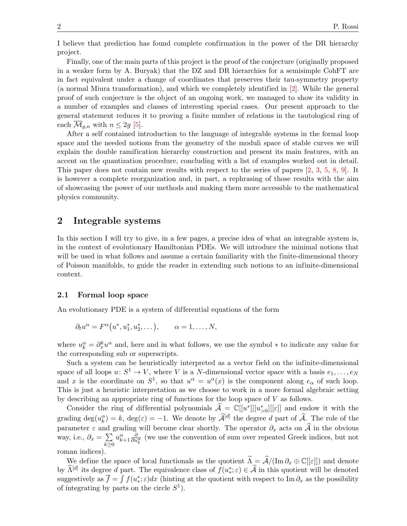I believe that prediction has found complete confirmation in the power of the DR hierarchy project.

Finally, one of the main parts of this project is the proof of the conjecture (originally proposed in a weaker form by A. Buryak) that the DZ and DR hierarchies for a semisimple CohFT are in fact equivalent under a change of coordinates that preserves their tau-symmetry property (a normal Miura transformation), and which we completely identified in [\[2\]](#page-27-1). While the general proof of such conjecture is the object of an ongoing work, we managed to show its validity in a number of examples and classes of interesting special cases. Our present approach to the general statement reduces it to proving a finite number of relations in the tautological ring of each  $\mathcal{M}_{q,n}$  with  $n \leq 2q$  [\[5\]](#page-27-3).

After a self contained introduction to the language of integrable systems in the formal loop space and the needed notions from the geometry of the moduli space of stable curves we will explain the double ramification hierarchy construction and present its main features, with an accent on the quantization procedure, concluding with a list of examples worked out in detail. This paper does not contain new results with respect to the series of papers [\[2,](#page-27-1) [3,](#page-27-2) [5,](#page-27-3) [8,](#page-27-4) [9\]](#page-27-5). It is however a complete reorganization and, in part, a rephrasing of those results with the aim of showcasing the power of our methods and making them more accessible to the mathematical physics community.

### 2 Integrable systems

In this section I will try to give, in a few pages, a precise idea of what an integrable system is, in the context of evolutionary Hamiltonian PDEs. We will introduce the minimal notions that will be used in what follows and assume a certain familiarity with the finite-dimensional theory of Poisson manifolds, to guide the reader in extending such notions to an infinite-dimensional context.

#### 2.1 Formal loop space

An evolutionary PDE is a system of differential equations of the form

$$
\partial_t u^{\alpha} = F^{\alpha}(u^*, u_1^*, u_2^*, \dots), \qquad \alpha = 1, \dots, N,
$$

where  $u_k^{\alpha} = \partial_x^k u^{\alpha}$  and, here and in what follows, we use the symbol  $*$  to indicate any value for the corresponding sub or superscripts.

Such a system can be heuristically interpreted as a vector field on the infinite-dimensional space of all loops  $u: S^1 \to V$ , where V is a N-dimensional vector space with a basis  $e_1, \ldots, e_N$ and x is the coordinate on  $S^1$ , so that  $u^{\alpha} = u^{\alpha}(x)$  is the component along  $e_{\alpha}$  of such loop. This is just a heuristic interpretation as we choose to work in a more formal algebraic setting by describing an appropriate ring of functions for the loop space of V as follows.

Consider the ring of differential polynomials  $\hat{\mathcal{A}} = \mathbb{C}[[u^*]][[u^*_{>0}][[\varepsilon]]$  and endow it with the grading  $\deg(u_k^{\alpha}) = k$ ,  $\deg(\varepsilon) = -1$ . We denote by  $\widehat{\mathcal{A}}^{[d]}$  the degree d part of  $\widehat{\mathcal{A}}$ . The role of the parameter  $\varepsilon$  and grading will become clear shortly. The operator  $\partial_x$  acts on  $\hat{\mathcal{A}}$  in the obvious way, i.e.,  $\partial_x = \sum$  $k\geq 0$  $u_{k+1}^{\alpha} \frac{\partial}{\partial u_k^{\alpha}}$  (we use the convention of sum over repeated Greek indices, but not roman indices).

We define the space of local functionals as the quotient  $\hat{\Lambda} = \hat{\mathcal{A}}/(\text{Im} \partial_x \oplus \mathbb{C}[[\varepsilon]])$  and denote by  $\widehat{\Lambda}^{[d]}$  its degree d part. The equivalence class of  $f(u^*_{*}; \varepsilon) \in \widehat{\mathcal{A}}$  in this quotient will be denoted suggestively as  $\overline{f} = \int f(u^*); \varepsilon) dx$  (hinting at the quotient with respect to Im  $\partial_x$  as the possibility of integrating by parts on the circle  $S^1$ ).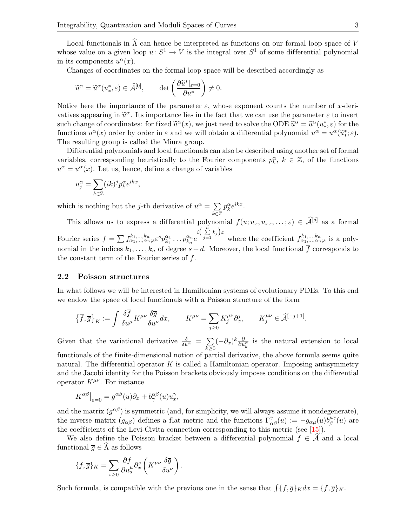Local functionals in  $\hat{\Lambda}$  can hence be interpreted as functions on our formal loop space of V whose value on a given loop  $u: S^1 \to V$  is the integral over  $S^1$  of some differential polynomial in its components  $u^{\alpha}(x)$ .

Changes of coordinates on the formal loop space will be described accordingly as

$$
\widetilde u^\alpha = \widetilde u^\alpha (u^*_*,\varepsilon) \in \widehat{\mathcal A}^{[0]}, \qquad \det \left( \frac{\partial \widetilde u^*|_{\varepsilon = 0}}{\partial u^*} \right) \neq 0.
$$

Notice here the importance of the parameter  $\varepsilon$ , whose exponent counts the number of x-derivatives appearing in  $\widetilde{u}^{\alpha}$ . Its importance lies in the fact that we can use the parameter  $\varepsilon$  to invert<br>guess observe of goordinates: for fixed  $\widetilde{u}^{\alpha}(x)$ , we just need to solve the ODE  $\widetilde{u}^{\alpha} - \widetilde{u}$ such change of coordinates: for fixed  $\tilde{u}^{\alpha}(x)$ , we just need to solve the ODE  $\tilde{u}^{\alpha} = \tilde{u}^{\alpha}(u^*, \varepsilon)$  for the functions  $u^{\alpha}(x)$  order by order in  $\varepsilon$  and we will obtain a differential polynomial  $u^{\alpha} = u$ functions  $u^{\alpha}(x)$  order by order in  $\varepsilon$  and we will obtain a differential polynomial  $u^{\alpha} = u^{\alpha}(\tilde{u}^*_{*}; \varepsilon)$ .<br>The resulting group is called the Miure group. The resulting group is called the Miura group.

Dif ferential polynomials and local functionals can also be described using another set of formal variables, corresponding heuristically to the Fourier components  $p_k^{\alpha}, k \in \mathbb{Z}$ , of the functions  $u^{\alpha} = u^{\alpha}(x)$ . Let us, hence, define a change of variables

$$
u_j^{\alpha} = \sum_{k \in \mathbb{Z}} (ik)^j p_k^{\alpha} e^{ikx},
$$

which is nothing but the j-th derivative of  $u^{\alpha} = \sum$  $\bar{k}$ ∈Z  $p_k^{\alpha}e^{ikx}$ .

This allows us to express a differential polynomial  $f(u; u_x, u_{xx}, \dots; \varepsilon) \in \widehat{\mathcal{A}}^{[d]}$  as a formal Fourier series  $f = \sum f_{\alpha_1,\dots,\alpha_n}^{k_1,\dots,k_n}$ ,  $\varepsilon^s p_{k_1}^{\alpha_1}$  $\frac{\alpha_1}{k_1} \ldots p_{k_n}^{\alpha_n} e$  $i\Big(\sum\limits_{j=1}^n k_j\Big)x$ where the coefficient  $f_{\alpha_1,\dots,\alpha_n;s}^{k_1,\dots,k_n}$  is a polynomial in the indices  $k_1, \ldots, k_n$  of degree  $s + d$ . Moreover, the local functional  $\overline{f}$  corresponds to the constant term of the Fourier series of  $f$ .

#### 2.2 Poisson structures

In what follows we will be interested in Hamiltonian systems of evolutionary PDEs. To this end we endow the space of local functionals with a Poisson structure of the form

$$
\left\{\overline{f},\overline{g}\right\}_K := \int \frac{\delta f}{\delta u^\mu} K^{\mu\nu} \frac{\delta \overline{g}}{\delta u^\nu} dx, \qquad K^{\mu\nu} = \sum_{j\geq 0} K^{\mu\nu}_j \partial_x^j, \qquad K^{\mu\nu}_j \in \widehat{\mathcal{A}}^{[-j+1]}.
$$

Given that the variational derivative  $\frac{\delta}{\delta u^{\alpha}} = \sum_{\alpha}$  $k\succeq0$  $(-\partial_x)^k \frac{\partial}{\partial u_k^{\alpha}}$  is the natural extension to local functionals of the finite-dimensional notion of partial derivative, the above formula seems quite natural. The differential operator  $K$  is called a Hamiltonian operator. Imposing antisymmetry

and the Jacobi identity for the Poisson brackets obviously imposes conditions on the differential operator  $K^{\mu\nu}$ . For instance

$$
K^{\alpha\beta}\big|_{\varepsilon=0} = g^{\alpha\beta}(u)\partial_x + b^{\alpha\beta}_\gamma(u)u_x^\gamma,
$$

and the matrix  $(g^{\alpha\beta})$  is symmetric (and, for simplicity, we will always assume it nondegenerate), the inverse matrix  $(g_{\alpha\beta})$  defines a flat metric and the functions  $\Gamma^{\gamma}_{\alpha\beta}(u) := -g_{\alpha\mu}(u)\overline{b^{\mu\gamma}}_{\beta}$  $_{\beta}^{\mu\gamma}(u)$  are the coefficients of the Levi-Civita connection corresponding to this metric (see  $[15]$ ).

We also define the Poisson bracket between a differential polynomial  $f \in \mathcal{A}$  and a local functional  $\overline{g} \in \Lambda$  as follows

$$
\{f,\overline{g}\}_K = \sum_{s\geq 0} \frac{\partial f}{\partial u_s^{\mu}} \partial_x^s \left( K^{\mu\nu} \frac{\delta \overline{g}}{\delta u^{\nu}} \right).
$$

Such formula, is compatible with the previous one in the sense that  $\int {\{f, \overline{g}\}}_K dx = {\{\overline{f}, \overline{g}\}}_K$ .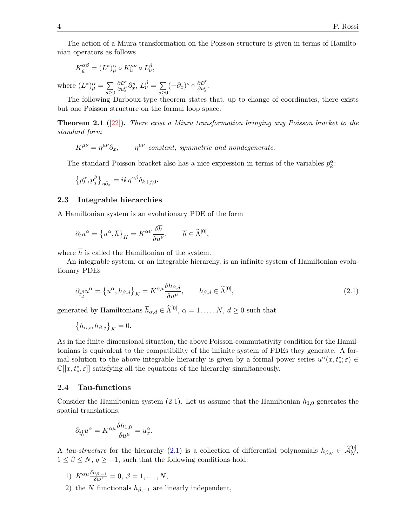The action of a Miura transformation on the Poisson structure is given in terms of Hamiltonian operators as follows

$$
K_{\widetilde{u}}^{\alpha\beta} = (L^*)^{\alpha}_{\mu} \circ K^{\mu\nu}_{u} \circ L^{\beta}_{\nu},
$$

where  $(L^*)^{\alpha}_{\mu} = \sum$  $s \geq 0$  $\frac{\partial \widetilde{u}^{\alpha}}{\partial u^{\mu}_{s}} \partial_{x}^{s}, L_{\nu}^{\beta} = \sum_{s \geq 0}$  $s \geq 0$  $(-\partial_x)^s \circ \frac{\partial \widetilde{u}^{\beta}}{\partial u^{\nu}}$  $\frac{\partial u^{\nu}}{\partial u^{\nu}_s}.$ 

The following Darboux-type theorem states that, up to change of coordinates, there exists but one Poisson structure on the formal loop space.

**Theorem 2.1** ([\[22\]](#page-28-7)). There exist a Miura transformation bringing any Poisson bracket to the standard form

 $K^{\mu\nu} = n^{\mu\nu} \partial_{\nu}$  $\eta^{\mu\nu}$  constant, symmetric and nondegenerate.

The standard Poisson bracket also has a nice expression in terms of the variables  $p_k^{\alpha}$ .

$$
\left\{p_k^{\alpha}, p_j^{\beta}\right\}_{\eta\partial_x} = ik\eta^{\alpha\beta}\delta_{k+j,0}.
$$

#### 2.3 Integrable hierarchies

A Hamiltonian system is an evolutionary PDE of the form

$$
\partial_t u^{\alpha} = \left\{ u^{\alpha}, \overline{h} \right\}_K = K^{\alpha\nu} \frac{\delta \overline{h}}{\delta u^{\nu}}, \qquad \overline{h} \in \widehat{\Lambda}^{[0]},
$$

where  $\overline{h}$  is called the Hamiltonian of the system.

An integrable system, or an integrable hierarchy, is an infinite system of Hamiltonian evolutionary PDEs

<span id="page-3-0"></span>
$$
\partial_{t_d^{\beta}} u^{\alpha} = \left\{ u^{\alpha}, \overline{h}_{\beta,d} \right\}_K = K^{\alpha \mu} \frac{\delta \overline{h}_{\beta,d}}{\delta u^{\mu}}, \qquad \overline{h}_{\beta,d} \in \widehat{\Lambda}^{[0]}, \tag{2.1}
$$

generated by Hamiltonians  $\overline{h}_{\alpha,d} \in \widehat{\Lambda}^{[0]}$ ,  $\alpha = 1, \ldots, N$ ,  $d \ge 0$  such that

$$
\left\{\overline{h}_{\alpha,i}, \overline{h}_{\beta,j}\right\}_K = 0.
$$

As in the finite-dimensional situation, the above Poisson-commutativity condition for the Hamiltonians is equivalent to the compatibility of the infinite system of PDEs they generate. A formal solution to the above integrable hierarchy is given by a formal power series  $u^{\alpha}(x, t^*); \varepsilon) \in$  $\mathbb{C}[[x,t^*,\varepsilon]]$  satisfying all the equations of the hierarchy simultaneously.

#### <span id="page-3-1"></span>2.4 Tau-functions

Consider the Hamiltonian system [\(2.1\)](#page-3-0). Let us assume that the Hamiltonian  $\bar{h}_{1,0}$  generates the spatial translations:

$$
\partial_{t_0^1} u^\alpha = K^{\alpha\mu} \frac{\delta \overline{h}_{1,0}}{\delta u^\mu} = u_x^\alpha.
$$

A tau-structure for the hierarchy [\(2.1\)](#page-3-0) is a collection of differential polynomials  $h_{\beta,q} \in \widehat{\mathcal{A}}_N^{[0]}$ ,  $1 \leq \beta \leq N, q \geq -1$ , such that the following conditions hold:

- 1)  $K^{\alpha\mu} \frac{\delta h_{\beta,-1}}{\delta u^{\mu}} = 0, \ \beta = 1, \ldots, N,$
- 2) the N functionals  $\overline{h}_{\beta,-1}$  are linearly independent,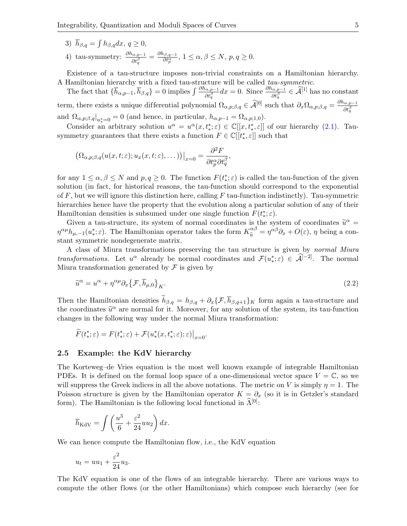- 3)  $\bar{h}_{\beta,q} = \int h_{\beta,q} dx, q \ge 0,$
- 4) tau-symmetry:  $\frac{\partial h_{\alpha,p-1}}{\partial t_q^\beta} = \frac{\partial h_{\beta,q-1}}{\partial t_p^\alpha}$  $\frac{\partial \beta, q-1}{\partial t^\alpha_p}, \ 1 \leq \alpha, \beta \leq N, \ p, q \geq 0.$

Existence of a tau-structure imposes non-trivial constraints on a Hamiltonian hierarchy. A Hamiltonian hierarchy with a fixed tau-structure will be called tau-symmetric.

The fact that  $\{\overline{h}_{\alpha,p-1}, \overline{h}_{\beta,q}\} = 0$  implies  $\int \frac{\partial h_{\alpha,p-1}}{\partial t_q^{\beta}} dx = 0$ . Since  $\frac{\partial h_{\alpha,p-1}}{\partial t_q^{\beta}} \in \widehat{\mathcal{A}}^{[1]}$  has no constant term, there exists a unique differential polynomial  $\Omega_{\alpha,p;\beta,q} \in \hat{\mathcal{A}}^{[0]}$  such that  $\partial_x \Omega_{\alpha,p;\beta,q} = \frac{\partial h_{\alpha,p-1}}{\partial t_q^{\beta}}$  $\overline{\partial t^{\beta}_q}$ and  $\Omega_{\alpha,p;\beta,q}|_{u^*_*=0} = 0$  (and hence, in particular,  $h_{\alpha,p-1} = \Omega_{\alpha,p;1,0}$ ).

Consider an arbitrary solution  $u^{\alpha} = u^{\alpha}(x, t^*, \varepsilon) \in \mathbb{C}[[x, t^*, \varepsilon]]$  of our hierarchy [\(2.1\)](#page-3-0). Tausymmetry guarantees that there exists a function  $F \in \mathbb{C}[[t^*_*, \varepsilon]]$  such that

$$
(\Omega_{\alpha,p;\beta,q}(u(x,t;\varepsilon);u_x(x,t;\varepsilon),\dots))\big|_{x=0} = \frac{\partial^2 F}{\partial t_p^{\alpha}\partial t_q^{\beta}},
$$

for any  $1 \le \alpha, \beta \le N$  and  $p, q \ge 0$ . The function  $F(t^*_{*}; \varepsilon)$  is called the tau-function of the given solution (in fact, for historical reasons, the tau-function should correspond to the exponential of  $F$ , but we will ignore this distinction here, calling  $F$  tau-function indistinctly). Tau-symmetric hierarchies hence have the property that the evolution along a particular solution of any of their Hamiltonian densities is subsumed under one single function  $F(t^*_*; \varepsilon)$ .

Given a tau-structure, its system of normal coordinates is the system of coordinates  $\tilde{u}^{\alpha} =$  $\eta^{\alpha\mu}h_{\mu,-1}(u^*_{*};\varepsilon)$ . The Hamiltonian operator takes the form  $K_{\tilde{u}}^{\alpha\beta} = \eta^{\alpha\beta}\partial_x + O(\varepsilon)$ ,  $\eta$  being a constant symmetric nondegenerate matrix.

A class of Miura transformations preserving the tau structure is given by normal Miura transformations. Let  $u^{\alpha}$  already be normal coordinates and  $\mathcal{F}(u^*_*; \varepsilon) \in \widehat{\mathcal{A}}^{[-2]}$ . The normal Miura transformation generated by  $\mathcal F$  is given by

<span id="page-4-1"></span>
$$
\widetilde{u}^{\alpha} = u^{\alpha} + \eta^{\alpha \mu} \partial_x \{ \mathcal{F}, \overline{h}_{\mu,0} \}_{K}.
$$
\n(2.2)

Then the Hamiltonian densities  $\tilde{h}_{\beta,q} = h_{\beta,q} + \partial_x \{\mathcal{F}, \overline{h}_{\beta,q+1}\}_K$  form again a tau-structure and the coordinates  $\tilde{u}^{\alpha}$  are normal for it. Moreover, for any solution of the system, its tau-function changes in the following way under the normal Miume transformation. changes in the following way under the normal Miura transformation:

$$
\widetilde{F}(t_*^*; \varepsilon) = F(t_*^*; \varepsilon) + \mathcal{F}(u_*^*(x, t_*^*; \varepsilon); \varepsilon)\big|_{x=0}.
$$

#### <span id="page-4-0"></span>2.5 Example: the KdV hierarchy

The Korteweg–de Vries equation is the most well known example of integrable Hamiltonian PDEs. It is defined on the formal loop space of a one-dimensional vector space  $V = \mathbb{C}$ , so we will suppress the Greek indices in all the above notations. The metric on V is simply  $\eta = 1$ . The Poisson structure is given by the Hamiltonian operator  $K = \partial_x$  (so it is in Getzler's standard form). The Hamiltonian is the following local functional in  $\widehat{\Lambda}^{[0]}$ :

$$
\overline{h}_{\rm KdV} = \int \left(\frac{u^3}{6} + \frac{\varepsilon^2}{24}uu_2\right)dx.
$$

We can hence compute the Hamiltonian flow, i.e., the KdV equation

$$
u_t = uu_1 + \frac{\varepsilon^2}{24}u_3.
$$

The KdV equation is one of the flows of an integrable hierarchy. There are various ways to compute the other flows (or the other Hamiltonians) which compose such hierarchy (see for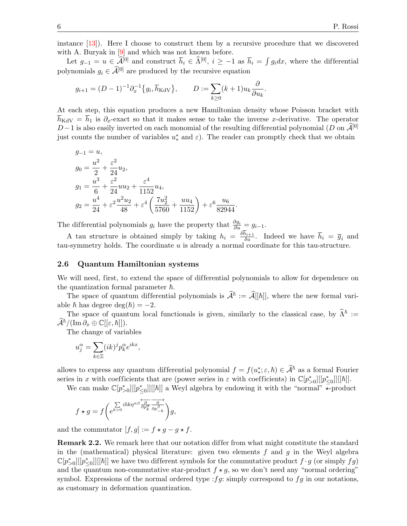instance [\[13\]](#page-27-7)). Here I choose to construct them by a recursive procedure that we discovered with A. Buryak in [\[9\]](#page-27-5) and which was not known before.

Let  $g_{-1} = u \in \widehat{\mathcal{A}}^{[0]}$  and construct  $\overline{h}_i \in \widehat{\Lambda}^{[0]}$ ,  $i \geq -1$  as  $\overline{h}_i = \int g_i dx$ , where the differential polynomials  $q_i \in \widehat{\mathcal{A}}^{[0]}$  are produced by the recursive equation

$$
g_{i+1} = (D-1)^{-1} \partial_x^{-1} \{ g_i, \overline{h}_{\text{KdV}} \}, \qquad D := \sum_{k \ge 0} (k+1) u_k \frac{\partial}{\partial u_k}.
$$

At each step, this equation produces a new Hamiltonian density whose Poisson bracket with  $\overline{h}_{\text{KdV}} = \overline{h}_1$  is  $\partial_x$ -exact so that it makes sense to take the inverse x-derivative. The operator D−1 is also easily inverted on each monomial of the resulting differential polynomial (D on  $\mathcal{A}^{[0]}$ ) just counts the number of variables  $u^*$  and  $\varepsilon$ ). The reader can promptly check that we obtain

$$
g_{-1} = u,
$$
  
\n
$$
g_0 = \frac{u^2}{2} + \frac{\varepsilon^2}{24} u_2,
$$
  
\n
$$
g_1 = \frac{u^3}{6} + \frac{\varepsilon^2}{24} u_2 + \frac{\varepsilon^4}{1152} u_4,
$$
  
\n
$$
g_2 = \frac{u^4}{24} + \varepsilon^2 \frac{u^2 u_2}{48} + \varepsilon^4 \left(\frac{7u_2^2}{5760} + \frac{u u_4}{1152}\right) + \varepsilon^6 \frac{u_6}{82944}.
$$

The differential polynomials  $g_i$  have the property that  $\frac{\partial g_i}{\partial u} = g_{i-1}$ .

A tau structure is obtained simply by taking  $h_i = \frac{\delta h_{i+1}}{\delta u}$ . Indeed we have  $\overline{h}_i = \overline{g}_i$  and tau-symmetry holds. The coordinate  $u$  is already a normal coordinate for this tau-structure.

#### 2.6 Quantum Hamiltonian systems

We will need, first, to extend the space of differential polynomials to allow for dependence on the quantization formal parameter  $\hbar$ .

The space of quantum differential polynomials is  $\hat{\mathcal{A}}^{\hbar} := \hat{\mathcal{A}}[[\hbar]]$ , where the new formal variable  $\hbar$  has degree deg( $\hbar$ ) = -2.

The space of quantum local functionals is given, similarly to the classical case, by  $\hat{\Lambda}^{\hbar} :=$  $\mathcal{A}^{\hbar}/(\operatorname{Im} \partial_x \oplus \mathbb{C}[[\varepsilon,\hbar]]).$ 

The change of variables

$$
u_j^{\alpha} = \sum_{k \in \mathbb{Z}} (ik)^j p_k^{\alpha} e^{ikx},
$$

allows to express any quantum differential polynomial  $f = f(u^*_{*,\varepsilon}, \hbar) \in \hat{\mathcal{A}}^{\hbar}$  as a formal Fourier series in x with coefficients that are (power series in  $\varepsilon$  with coefficients) in  $\mathbb{C}[p^*_{\leq 0}][[p^*_{\leq 0}]][[\hbar]]$ .

We can make  $\mathbb{C}[p^*_{\geq 0}][[p^*_{\leq 0}]][[\hbar]]$  a Weyl algebra by endowing it with the "normal"  $\star$ -product

$$
f\star g=f\bigg(e^{k>0}\overline{ihk\eta^{\alpha\beta}}\overline{\frac{\partial}{\partial p_k^{\alpha}}\frac{\partial}{\partial p_{-k}^{\beta}}}\bigg)g,
$$

and the commutator  $[f, g] := f \star g - g \star f$ .

**Remark 2.2.** We remark here that our notation differ from what might constitute the standard in the (mathematical) physical literature: given two elements  $f$  and  $g$  in the Weyl algebra  $\mathbb{C}[p_{>0}^*][[p_{\leq 0}^*]][[\hbar]]$  we have two different symbols for the commutative product  $f \cdot g$  (or simply  $fg$ ) and the quantum non-commutative star-product  $f \star g$ , so we don't need any "normal ordering" symbol. Expressions of the normal ordered type :  $fg$ : simply correspond to  $fg$  in our notations, as customary in deformation quantization.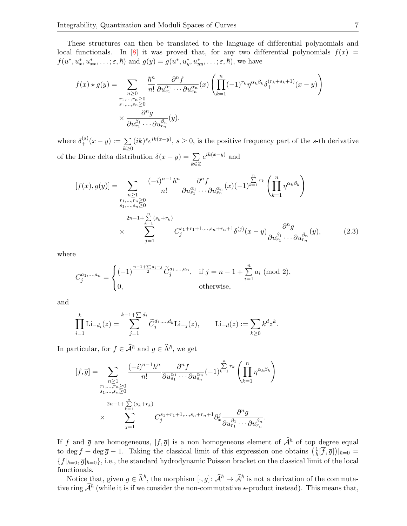These structures can then be translated to the language of differential polynomials and local functionals. In [\[8\]](#page-27-4) it was proved that, for any two differential polynomials  $f(x)$  =  $f(u^*, u_x^*, u_{xx}^*, \dots; \varepsilon, \hbar)$  and  $g(y) = g(u^*, u_y^*, u_{yy}^*, \dots; \varepsilon, \hbar)$ , we have

$$
f(x) \star g(y) = \sum_{\substack{n \geq 0 \\ r_1, \dots, r_n \geq 0 \\ s_1, \dots, s_n \geq 0}} \frac{\hbar^n}{n!} \frac{\partial^n f}{\partial u_{s_1}^{\alpha_1} \cdots \partial u_{s_n}^{\alpha_n}} (x) \left( \prod_{k=1}^n (-1)^{r_k} \eta^{\alpha_k \beta_k} \delta_+^{(r_k + s_k + 1)} (x - y) \right)
$$

$$
\times \frac{\partial^n g}{\partial u_{r_1}^{\beta_1} \cdots \partial u_{r_n}^{\beta_n}} (y),
$$

where  $\delta_{+}^{(s)}(x - y) := \sum_{k \geq 0}$  $(ik)^s e^{ik(x-y)}$ ,  $s \geq 0$ , is the positive frequency part of the s-th derivative of the Dirac delta distribution  $\delta(x-y) = \sum$  $\overline{k\varepsilon}\mathbb{Z}$  $e^{ik(x-y)}$  and

$$
[f(x), g(y)] = \sum_{\substack{n \geq 1 \\ r_1, \dots, r_n \geq 0 \\ s_1, \dots, s_n \geq 0}} \frac{(-i)^{n-1} \hbar^n}{n!} \frac{\partial^n f}{\partial u_{s_1}^{\alpha_1} \cdots \partial u_{s_n}^{\alpha_n}} (x) (-1)^{\sum_{k=1}^{n} r_k} \left( \prod_{k=1}^n \eta^{\alpha_k \beta_k} \right)
$$
  

$$
\times \sum_{j=1}^{r_1, \dots, r_n \geq 0} C_j^{s_1 + r_1 + 1, \dots, s_n + r_n + 1} \delta^{(j)}(x - y) \frac{\partial^n g}{\partial u_{r_1}^{\beta_1} \cdots \partial u_{r_n}^{\beta_n}} (y), \qquad (2.3)
$$

where

<span id="page-6-0"></span>
$$
C_j^{a_1,\dots,a_n} = \begin{cases} (-1)^{\frac{n-1+\sum a_i-j}{2}} \tilde{C}_j^{a_1,\dots,a_n}, & \text{if } j = n-1+\sum_{i=1}^n a_i \pmod{2}, \\ 0, & \text{otherwise}, \end{cases}
$$

and

$$
\prod_{i=1}^k \mathrm{Li}_{-d_i}(z) = \sum_{j=1}^{k-1+\sum d_i} \widetilde{C}_j^{d_1,\dots,d_k} \mathrm{Li}_{-j}(z), \qquad \mathrm{Li}_{-d}(z) := \sum_{k \ge 0} k^d z^k.
$$

In particular, for  $f \in \widehat{\mathcal{A}}^{\hbar}$  and  $\overline{g} \in \widehat{\Lambda}^{\hbar}$ , we get

$$
[f,\overline{g}] = \sum_{\substack{n\geq 1\\r_1,\dots,r_n\geq 0\\s_1,\dots,s_n\geq 0\\x}} \frac{(-i)^{n-1} \hbar^n}{n!} \frac{\partial^n f}{\partial u_{s_1}^{\alpha_1} \cdots \partial u_{s_n}^{\alpha_n}} (-1)^{\sum\limits_{k=1}^n r_k} \left( \prod\limits_{k=1}^n \eta^{\alpha_k \beta_k} \right)
$$

$$
\times \sum_{j=1}^{r_1,\dots,r_n\geq 0} C_j^{s_1+r_1+1,\dots,s_n+r_n+1} \partial_x^j \frac{\partial^n g}{\partial u_{r_1}^{\beta_1} \cdots \partial u_{r_n}^{\beta_n}}.
$$

If f and  $\bar{g}$  are homogeneous,  $[f, \bar{g}]$  is a non homogeneous element of  $\hat{A}^{\hbar}$  of top degree equal to deg f + deg  $\bar{g}$  – 1. Taking the classical limit of this expression one obtains  $\left(\frac{1}{\hbar}[\bar{f},\bar{g}]\right)|_{\hbar=0}$  ${\{\overline{f}|_{\hbar=0},\overline{g}|_{\hbar=0}\}}$ , i.e., the standard hydrodynamic Poisson bracket on the classical limit of the local functionals.

Notice that, given  $\overline{g} \in \widehat{\Lambda}^{\hbar}$ , the morphism  $[\cdot, \overline{g}] : \widehat{\mathcal{A}}^{\hbar} \to \widehat{\mathcal{A}}^{\hbar}$  is not a derivation of the commutative ring  $\hat{\mathcal{A}}^{\hbar}$  (while it is if we consider the non-commutative  $\star$ -product instead). This means that,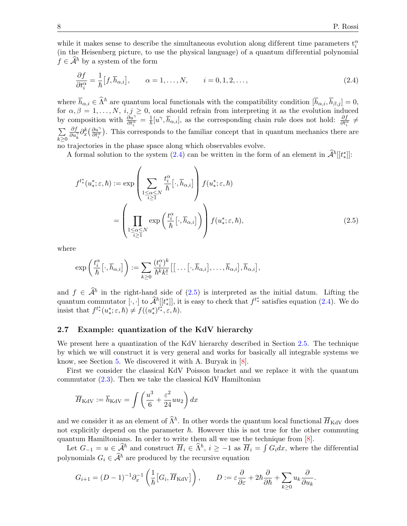while it makes sense to describe the simultaneous evolution along different time parameters  $t_i^{\alpha}$ (in the Heisenberg picture, to use the physical language) of a quantum dif ferential polynomial  $f \in \mathcal{A}^{\hbar}$  by a system of the form

<span id="page-7-0"></span>
$$
\frac{\partial f}{\partial t_i^{\alpha}} = \frac{1}{\hbar} [f, \overline{h}_{\alpha, i}], \qquad \alpha = 1, \dots, N, \qquad i = 0, 1, 2, \dots,
$$
\n(2.4)

where  $\overline{h}_{\alpha,i} \in \widehat{\Lambda}^{\hbar}$  are quantum local functionals with the compatibility condition  $[\overline{h}_{\alpha,i}, \overline{h}_{\beta,j}] = 0$ , for  $\alpha, \beta = 1, \ldots, N, i, j \geq 0$ , one should refrain from interpreting it as the evolution induced by composition with  $\frac{\partial u^{\gamma}}{\partial t^{\alpha}} = \frac{1}{\hbar} [u^{\gamma}, \overline{h}_{\alpha,i}]$ , as the corresponding chain rule does not hold:  $\frac{\partial f}{\partial t^{\alpha}} \neq$ by composition with  $\frac{\partial \overline{t_i^{\alpha}}} {\partial t_i^{\alpha}} = \frac{\overline{t_i}}{|\overline{t_i}|}$   $\overline{t_i}$ ,  $\overline{t_i}$ ,  $\overline{t_i}$ , as the corresponding chain rule does not nota:  $\frac{\partial \overline{t_i^{\alpha}}}{\partial t_i^{\alpha}}$ <br> $\sum \frac{\partial f}{\partial x_i} \frac{\partial k_i^{\alpha}}{\partial t_i^{\alpha}}$ . This corresponds  $k\geq 0$  $\frac{\partial f}{\partial u^{\gamma}_k}\partial^{k}_{x}\left(\frac{\partial u^{\gamma}}{\partial t^{\alpha}_i}\right)$  $\frac{\partial u^{\gamma}}{\partial t_i^{\alpha}}$ . This corresponds to the familiar concept that in quantum mechanics there are no trajectories in the phase space along which observables evolve.

A formal solution to the system [\(2.4\)](#page-7-0) can be written in the form of an element in  $\hat{\mathcal{A}}^{\hbar}[[t_*^*]]$ :

$$
f^{t^*_{*}}(u^*_{*};\varepsilon,\hbar) := \exp\left(\sum_{\substack{1 \leq \alpha \leq N \\ i \geq 1}} \frac{t_i^{\alpha}}{\hbar} \left[\cdot, \overline{h}_{\alpha,i}\right] \right) f(u^*_{*};\varepsilon,\hbar)
$$

$$
= \left(\prod_{\substack{1 \leq \alpha \leq N \\ i \geq 1}} \exp\left(\frac{t_i^{\alpha}}{\hbar} \left[\cdot, \overline{h}_{\alpha,i}\right]\right) \right) f(u^*_{*};\varepsilon,\hbar), \tag{2.5}
$$

where

<span id="page-7-1"></span>
$$
\exp\left(\frac{t_i^{\alpha}}{\hbar}\big[\cdot,\overline{h}_{\alpha,i}\big]\right):=\sum_{k\geq 0}\frac{(t_i^{\alpha})^k}{\hbar^kk!}\big[\big[\dots[\cdot,\overline{h}_{\alpha,i}\big],\dots,\overline{h}_{\alpha,i}\big],\overline{h}_{\alpha,i}\big],
$$

and  $f \in \hat{\mathcal{A}}^{\hbar}$  in the right-hand side of [\(2.5\)](#page-7-1) is interpreted as the initial datum. Lifting the quantum commutator [ $\cdot$ , ] to  $\hat{\mathcal{A}}^{\hbar}[[t^*]]$ , it is easy to check that  $f^{t^*}$  satisfies equation [\(2.4\)](#page-7-0). We do insist that  $f^{t^*}(u^*_*;\varepsilon,\hbar) \neq f((u^*_*)^{t^*_*},\varepsilon,\hbar).$ 

#### 2.7 Example: quantization of the KdV hierarchy

We present here a quantization of the KdV hierarchy described in Section [2.5.](#page-4-0) The technique by which we will construct it is very general and works for basically all integrable systems we know, see Section [5.](#page-13-0) We discovered it with A. Buryak in [\[8\]](#page-27-4).

First we consider the classical KdV Poisson bracket and we replace it with the quantum commutator  $(2.3)$ . Then we take the classical KdV Hamiltonian

$$
\overline{H}_{\text{KdV}} := \overline{h}_{\text{KdV}} = \int \left(\frac{u^3}{6} + \frac{\varepsilon^2}{24} u u_2\right) dx
$$

and we consider it as an element of  $\widehat{\Lambda}^{\hbar}$ . In other words the quantum local functional  $\overline{H}_{\text{KdV}}$  does not explicitly depend on the parameter  $\hbar$ . However this is not true for the other commuting quantum Hamiltonians. In order to write them all we use the technique from [\[8\]](#page-27-4).

Let  $G_{-1} = u \in \widehat{\mathcal{A}}^{\hbar}$  and construct  $\overline{H}_i \in \widehat{\Lambda}^{\hbar}$ ,  $i \geq -1$  as  $\overline{H}_i = \int G_i dx$ , where the differential polynomials  $G_i \in \widehat{\mathcal{A}}^{\hbar}$  are produced by the recursive equation

$$
G_{i+1} = (D-1)^{-1} \partial_x^{-1} \left( \frac{1}{\hbar} \left[ G_i, \overline{H}_{\text{KdV}} \right] \right), \qquad D := \varepsilon \frac{\partial}{\partial \varepsilon} + 2\hbar \frac{\partial}{\partial \hbar} + \sum_{k \ge 0} u_k \frac{\partial}{\partial u_k}.
$$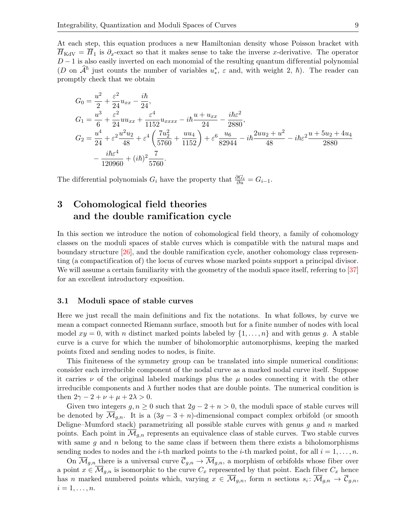At each step, this equation produces a new Hamiltonian density whose Poisson bracket with  $\overline{H}_{\text{KdV}} = \overline{H}_1$  is  $\partial_x$ -exact so that it makes sense to take the inverse x-derivative. The operator  $D-1$  is also easily inverted on each monomial of the resulting quantum differential polynomial (D on  $\widehat{A}^{\hbar}$  just counts the number of variables  $u^*_*$ ,  $\varepsilon$  and, with weight 2,  $\hbar$ ). The reader can promptly check that we obtain

$$
G_0 = \frac{u^2}{2} + \frac{\varepsilon^2}{24} u_{xx} - \frac{i\hbar}{24},
$$
  
\n
$$
G_1 = \frac{u^3}{6} + \frac{\varepsilon^2}{24} u u_{xx} + \frac{\varepsilon^4}{1152} u_{xxxx} - i\hbar \frac{u + u_{xx}}{24} - \frac{i\hbar \varepsilon^2}{2880},
$$
  
\n
$$
G_2 = \frac{u^4}{24} + \varepsilon^2 \frac{u^2 u_2}{48} + \varepsilon^4 \left(\frac{7u_2^2}{5760} + \frac{u u_4}{1152}\right) + \varepsilon^6 \frac{u_6}{82944} - i\hbar \frac{2uu_2 + u^2}{48} - i\hbar \varepsilon^2 \frac{u + 5u_2 + 4u_4}{2880} - \frac{i\hbar \varepsilon^4}{120960} + (i\hbar)^2 \frac{7}{5760}.
$$

The differential polynomials  $G_i$  have the property that  $\frac{\partial G_i}{\partial u} = G_{i-1}$ .

## 3 Cohomological field theories and the double ramification cycle

In this section we introduce the notion of cohomological field theory, a family of cohomology classes on the moduli spaces of stable curves which is compatible with the natural maps and boundary structure [\[26\]](#page-28-8), and the double ramification cycle, another cohomology class representing (a compactification of) the locus of curves whose marked points support a principal divisor. We will assume a certain familiarity with the geometry of the moduli space itself, referring to [\[37\]](#page-28-9) for an excellent introductory exposition.

#### 3.1 Moduli space of stable curves

Here we just recall the main definitions and fix the notations. In what follows, by curve we mean a compact connected Riemann surface, smooth but for a finite number of nodes with local model  $xy = 0$ , with n distinct marked points labeled by  $\{1, \ldots, n\}$  and with genus g. A stable curve is a curve for which the number of biholomorphic automorphisms, keeping the marked points fixed and sending nodes to nodes, is finite.

This finiteness of the symmetry group can be translated into simple numerical conditions: consider each irreducible component of the nodal curve as a marked nodal curve itself. Suppose it carries  $\nu$  of the original labeled markings plus the  $\mu$  nodes connecting it with the other irreducible components and  $\lambda$  further nodes that are double points. The numerical condition is then  $2\gamma - 2 + \nu + \mu + 2\lambda > 0$ .

Given two integers  $g, n \geq 0$  such that  $2g - 2 + n > 0$ , the moduli space of stable curves will be denoted by  $\overline{\mathcal{M}}_{q,n}$ . It is a  $(3g-3+n)$ -dimensional compact complex orbifold (or smooth Deligne–Mumford stack) parametrizing all possible stable curves with genus  $g$  and  $n$  marked points. Each point in  $\mathcal{M}_{q,n}$  represents an equivalence class of stable curves. Two stable curves with same g and n belong to the same class if between them there exists a biholomorphisms sending nodes to nodes and the *i*-th marked points to the *i*-th marked point, for all  $i = 1, \ldots, n$ .

On  $\overline{\mathcal{M}}_{g,n}$  there is a universal curve  $\overline{\mathcal{C}}_{g,n} \to \overline{\mathcal{M}}_{g,n}$ , a morphism of orbifolds whose fiber over a point  $x \in \overline{\mathcal{M}}_{g,n}$  is isomorphic to the curve  $C_x$  represented by that point. Each fiber  $C_x$  hence has n marked numbered points which, varying  $x \in \mathcal{M}_{g,n}$ , form n sections  $s_i: \mathcal{M}_{g,n} \to \mathcal{C}_{g,n}$ ,  $i=1,\ldots,n$ .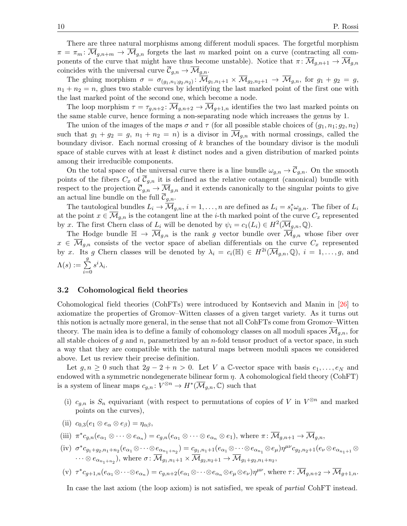There are three natural morphisms among different moduli spaces. The forgetful morphism  $\pi = \pi_m : \overline{\mathcal{M}}_{q,n+m} \to \overline{\mathcal{M}}_{q,n}$  forgets the last m marked point on a curve (contracting all components of the curve that might have thus become unstable). Notice that  $\pi: \overline{\mathcal{M}}_{q,n+1} \to \overline{\mathcal{M}}_{q,n}$ coincides with the universal curve  $\overline{\mathcal{C}}_{g,n} \to \overline{\mathcal{M}}_{g,n}$ .

The gluing morphism  $\sigma = \sigma_{(g_1,n_1,g_2,n_2)}\colon \overline{\mathcal{M}}_{g_1,n_1+1} \times \overline{\mathcal{M}}_{g_2,n_2+1} \to \overline{\mathcal{M}}_{g,n}$ , for  $g_1 + g_2 = g$ ,  $n_1 + n_2 = n$ , glues two stable curves by identifying the last marked point of the first one with the last marked point of the second one, which become a node.

The loop morphism  $\tau = \tau_{q,n+2}$ :  $\overline{\mathcal{M}}_{q,n+2} \to \overline{\mathcal{M}}_{q+1,n}$  identifies the two last marked points on the same stable curve, hence forming a non-separating node which increases the genus by 1.

The union of the images of the maps  $\sigma$  and  $\tau$  (for all possible stable choices of  $(q_1, n_1; q_2, n_2)$ ) such that  $g_1 + g_2 = g$ ,  $n_1 + n_2 = n$ ) is a divisor in  $\overline{\mathcal{M}}_{q,n}$  with normal crossings, called the boundary divisor. Each normal crossing of  $k$  branches of the boundary divisor is the moduli space of stable curves with at least  $k$  distinct nodes and a given distribution of marked points among their irreducible components.

On the total space of the universal curve there is a line bundle  $\omega_{q,n} \to \overline{\mathcal{C}}_{q,n}$ . On the smooth points of the fibers  $C_x$  of  $\overline{C}_{q,n}$  it is defined as the relative cotangent (canonical) bundle with respect to the projection  $\overline{\mathcal{C}}_{g,n} \to \overline{\mathcal{M}}_{g,n}$  and it extends canonically to the singular points to give an actual line bundle on the full  $\overline{\mathcal{C}}_{g,n}$ .

The tautological bundles  $L_i \to \overline{\mathcal{M}}_{g,n}$ ,  $i = 1, \ldots, n$  are defined as  $L_i = s_i^* \omega_{g,n}$ . The fiber of  $L_i$ at the point  $x \in \mathcal{M}_{q,n}$  is the cotangent line at the *i*-th marked point of the curve  $C_x$  represented by x. The first Chern class of  $L_i$  will be denoted by  $\psi_i = c_1(L_i) \in H^2(\overline{\mathcal{M}}_{g,n}, \mathbb{Q})$ .

The Hodge bundle  $\mathbb{H} \to \overline{\mathcal{M}}_{g,n}$  is the rank g vector bundle over  $\overline{\mathcal{M}}_{g,n}$  whose fiber over  $x \in \overline{\mathcal{M}}_{g,n}$  consists of the vector space of abelian differentials on the curve  $C_x$  represented by x. Its g Chern classes will be denoted by  $\lambda_i = c_i(\mathbb{H}) \in H^{2i}(\overline{\mathcal{M}}_{g,n},\mathbb{Q}), i = 1,\ldots,g$ , and  $\Lambda(s):=\sum$ g  $i=0$  $s^i\lambda_i$ .

#### <span id="page-9-0"></span>3.2 Cohomological field theories

Cohomological field theories (CohFTs) were introduced by Kontsevich and Manin in [\[26\]](#page-28-8) to axiomatize the properties of Gromov–Witten classes of a given target variety. As it turns out this notion is actually more general, in the sense that not all CohFTs come from Gromov–Witten theory. The main idea is to define a family of cohomology classes on all moduli spaces  $\mathcal{M}_{q,n}$ , for all stable choices of g and n, parametrized by an  $n$ -fold tensor product of a vector space, in such a way that they are compatible with the natural maps between moduli spaces we considered above. Let us review their precise definition.

Let  $g, n \geq 0$  such that  $2g - 2 + n > 0$ . Let V a C-vector space with basis  $e_1, \ldots, e_N$  and endowed with a symmetric nondegenerate bilinear form  $\eta$ . A cohomological field theory (CohFT) is a system of linear maps  $c_{g,n}: V^{\otimes n} \to H^*(\overline{\mathcal{M}}_{g,n}, \mathbb{C})$  such that

- (i)  $c_{g,n}$  is  $S_n$  equivariant (with respect to permutations of copies of V in  $V^{\otimes n}$  and marked points on the curves),
- (ii)  $c_{0,3}(e_1 \otimes e_\alpha \otimes e_\beta) = \eta_{\alpha\beta},$
- (iii)  $\pi^* c_{g,n}(e_{\alpha_1} \otimes \cdots \otimes e_{\alpha_n}) = c_{g,n}(e_{\alpha_1} \otimes \cdots \otimes e_{\alpha_n} \otimes e_1)$ , where  $\pi \colon \overline{\mathcal{M}}_{g,n+1} \to \overline{\mathcal{M}}_{g,n}$ ,
- (iv)  $\sigma^* c_{g_1+g_2,n_1+n_2}(e_{\alpha_1} \otimes \cdots \otimes e_{\alpha_{n_1+n_2}}) = c_{g_1,n_1+1}(e_{\alpha_1} \otimes \cdots \otimes e_{\alpha_{n_1}} \otimes e_{\mu}) \eta^{\mu\nu} c_{g_2,n_2+1}(e_{\nu} \otimes e_{\alpha_{n_1+1}} \otimes e_{\mu})$  $\cdots \otimes e_{\alpha_{n_1+n_2}}$ , where  $\sigma \colon \mathcal{M}_{g_1,n_1+1} \times \mathcal{M}_{g_2,n_2+1} \to \mathcal{M}_{g_1+g_2,n_1+n_2}$ ,

$$
(\mathbf{v}) \ \tau^* c_{g+1,n}(e_{\alpha_1} \otimes \cdots \otimes e_{\alpha_n}) = c_{g,n+2}(e_{\alpha_1} \otimes \cdots \otimes e_{\alpha_n} \otimes e_{\mu} \otimes e_{\nu})\eta^{\mu\nu}, \text{ where } \tau \colon \overline{\mathcal{M}}_{g,n+2} \to \overline{\mathcal{M}}_{g+1,n}.
$$

In case the last axiom (the loop axiom) is not satisfied, we speak of *partial* CohFT instead.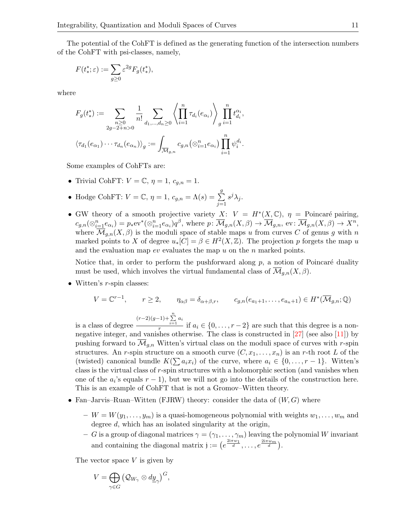The potential of the CohFT is defined as the generating function of the intersection numbers of the CohFT with psi-classes, namely,

$$
F(t_*^*; \varepsilon) := \sum_{g \ge 0} \varepsilon^{2g} F_g(t_*^*),
$$

where

$$
F_g(t^*) := \sum_{\substack{n \geq 0 \\ 2g-2+n>0}} \frac{1}{n!} \sum_{d_1,\dots,d_n \geq 0} \left\langle \prod_{i=1}^n \tau_{d_i}(e_{\alpha_i}) \right\rangle \prod_{g}^n t_{d_i}^{\alpha_i},
$$

$$
\left\langle \tau_{d_1}(e_{\alpha_1}) \cdots \tau_{d_n}(e_{\alpha_n}) \right\rangle_g := \int_{\overline{\mathcal{M}}_{g,n}} c_{g,n}(\otimes_{i=1}^n e_{\alpha_i}) \prod_{i=1}^n \psi_i^{d_i}.
$$

Some examples of CohFTs are:

- Trivial CohFT:  $V = \mathbb{C}, \eta = 1, c_{q,n} = 1.$
- Hodge CohFT:  $V = \mathbb{C}, \eta = 1, c_{g,n} = \Lambda(s) = \sum_{n=1}^{g}$  $j=1$  $s^j\lambda_j$ .
- GW theory of a smooth projective variety  $X: V = H^*(X, \mathbb{C}), \eta =$  Poincaré pairing,  $c_{g,n}(\otimes_{i=1}^n e_{\alpha_i})=p_*\text{ev}^*(\otimes_{i=1}^n e_{\alpha_i})q^{\beta}$ , where  $p\colon \overline{\mathcal{M}}_{g,n}(X,\beta)\to \overline{\mathcal{M}}_{g,n}$ , ev:  $\overline{\mathcal{M}}_{g,n}(X,\beta)\to X^n$ , where  $\overline{\mathcal{M}}_{q,n}(X,\beta)$  is the moduli space of stable maps u from curves C of genus g with n marked points to X of degree  $u_*[C] = \beta \in H^2(X, \mathbb{Z})$ . The projection p forgets the map u and the evaluation map ev evaluates the map  $u$  on the n marked points.

Notice that, in order to perform the pushforward along  $p$ , a notion of Poincaré duality must be used, which involves the virtual fundamental class of  $\overline{\mathcal{M}}_{q,n}(X,\beta)$ .

• Witten's *r*-spin classes:

$$
V = \mathbb{C}^{r-1}, \qquad r \ge 2, \qquad \eta_{\alpha\beta} = \delta_{\alpha+\beta,r}, \qquad c_{g,n}(e_{a_1+1}, \ldots, e_{a_n+1}) \in H^*(\overline{\mathcal{M}}_{g,n}; \mathbb{Q})
$$

is a class of degree  $(r-2)(g-1)+\sum_{i=1}^n a_i$  $\frac{i}{r}$  if  $a_i \in \{0, \ldots, r-2\}$  are such that this degree is a nonnegative integer, and vanishes otherwise. The class is constructed in [\[27\]](#page-28-10) (see also [\[11\]](#page-27-8)) by pushing forward to  $\overline{\mathcal{M}}_{q,n}$  Witten's virtual class on the moduli space of curves with r-spin structures. An r-spin structure on a smooth curve  $(C, x_1, \ldots, x_n)$  is an r-th root L of the (twisted) canonical bundle  $K(\sum a_i x_i)$  of the curve, where  $a_i \in \{0, \ldots, r-1\}$ . Witten's class is the virtual class of r-spin structures with a holomorphic section (and vanishes when one of the  $a_i$ 's equals  $r-1$ ), but we will not go into the details of the construction here. This is an example of CohFT that is not a Gromov–Witten theory.

- Fan–Jarvis–Ruan–Witten (FJRW) theory: consider the data of  $(W, G)$  where
	- $-W = W(y_1, \ldots, y_m)$  is a quasi-homogeneous polynomial with weights  $w_1, \ldots, w_m$  and degree d, which has an isolated singularity at the origin,
	- G is a group of diagonal matrices  $\gamma = (\gamma_1, \ldots, \gamma_m)$  leaving the polynomial W invariant and containing the diagonal matrix  $j := (e^{\frac{2i\pi w_1}{d}}, \ldots, e^{\frac{2i\pi w_m}{d}}).$

The vector space  $V$  is given by

$$
V=\bigoplus_{\gamma\in G} \left(\mathcal{Q}_{W_{\gamma}}\otimes d\underline{y}_{\gamma}\right)^{G},
$$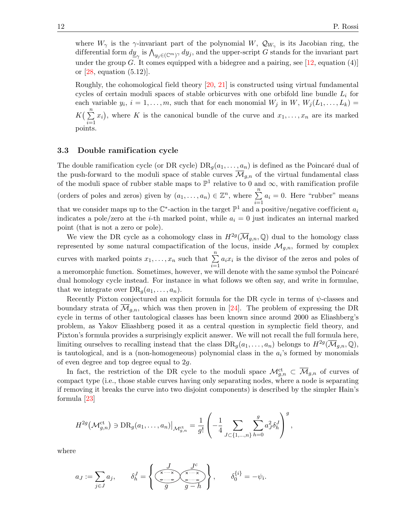where  $W_{\gamma}$  is the  $\gamma$ -invariant part of the polynomial W,  $\mathcal{Q}_{W_{\gamma}}$  is its Jacobian ring, the differential form  $dy_{\gamma}$  is  $\bigwedge_{y_j \in (\mathbb{C}^m)^{\gamma}} dy_j$ , and the upper-script G stands for the invariant part under the group G. It comes equipped with a bidegree and a pairing, see  $[12, \text{ equation } (4)]$ or [\[28,](#page-28-11) equation (5.12)].

Roughly, the cohomological field theory [\[20,](#page-28-12) [21\]](#page-28-13) is constructed using virtual fundamental cycles of certain moduli spaces of stable orbicurves with one orbifold line bundle  $L_i$  for each variable  $y_i$ ,  $i = 1, \ldots, m$ , such that for each monomial  $W_j$  in  $W, W_j(L_1, \ldots, L_k) =$  $K\left(\sum_{n=1}^{n} x_i\right)$ , where K is the canonical bundle of the curve and  $x_1, \ldots, x_n$  are its marked  $i=1$  points.

#### 3.3 Double ramification cycle

The double ramification cycle (or DR cycle)  $DR_q(a_1, \ldots, a_n)$  is defined as the Poincaré dual of the push-forward to the moduli space of stable curves  $\overline{\mathcal{M}}_{q,n}$  of the virtual fundamental class of the moduli space of rubber stable maps to  $\mathbb{P}^1$  relative to 0 and  $\infty$ , with ramification profile (orders of poles and zeros) given by  $(a_1, \ldots, a_n) \in \mathbb{Z}^n$ , where  $\sum_{n=1}^n$  $i=1$  $a_i = 0$ . Here "rubber" means that we consider maps up to the  $\mathbb{C}^*$ -action in the target  $\mathbb{P}^1$  and a positive/negative coefficient  $a_i$ indicates a pole/zero at the *i*-th marked point, while  $a_i = 0$  just indicates an internal marked point (that is not a zero or pole).

We view the DR cycle as a cohomology class in  $H^{2g}(\overline{\mathcal{M}}_{g,n},\mathbb{Q})$  dual to the homology class represented by some natural compactification of the locus, inside  $\mathcal{M}_{g,n}$ , formed by complex curves with marked points  $x_1, \ldots, x_n$  such that  $\sum_{n=1}^n$  $i=1$  $a_i x_i$  is the divisor of the zeros and poles of a meromorphic function. Sometimes, however, we will denote with the same symbol the Poincaré dual homology cycle instead. For instance in what follows we often say, and write in formulae, that we integrate over  $\text{DR}_q(a_1, \ldots, a_n)$ .

Recently Pixton conjectured an explicit formula for the DR cycle in terms of  $\psi$ -classes and boundary strata of  $\overline{\mathcal{M}}_{g,n}$ , which was then proven in [\[24\]](#page-28-14). The problem of expressing the DR cycle in terms of other tautological classes has been known since around 2000 as Eliashberg's problem, as Yakov Eliashberg posed it as a central question in symplectic field theory, and Pixton's formula provides a surprisingly explicit answer. We will not recall the full formula here, limiting ourselves to recalling instead that the class  $DR_g(a_1, \ldots, a_n)$  belongs to  $H^{2g}(\overline{\mathcal{M}}_{g,n}, \mathbb{Q}),$ is tautological, and is a (non-homogeneous) polynomial class in the  $a_i$ 's formed by monomials of even degree and top degree equal to 2g.

In fact, the restriction of the DR cycle to the moduli space  $\mathcal{M}_{g,n}^{\text{ct}} \subset \overline{\mathcal{M}}_{g,n}$  of curves of compact type (i.e., those stable curves having only separating nodes, where a node is separating if removing it breaks the curve into two disjoint components) is described by the simpler Hain's formula [\[23\]](#page-28-15)

$$
H^{2g}(\mathcal{M}_{g,n}^{\mathrm{ct}}) \ni \mathrm{DR}_g(a_1,\ldots,a_n)|_{\mathcal{M}_{g,n}^{\mathrm{ct}}} = \frac{1}{g!} \left(-\frac{1}{4} \sum_{J \subset \{1,\ldots,n\}} \sum_{h=0}^g a_J^2 \delta_h^J\right)^g,
$$

where

a<sup>J</sup> := X j∈J a<sup>j</sup> , δ<sup>J</sup> <sup>h</sup> = , δ{i} <sup>0</sup> = −ψ<sup>i</sup> .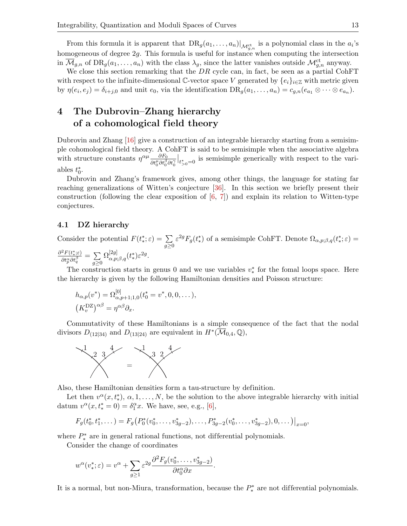From this formula it is apparent that  $DR_g(a_1, \ldots, a_n)|_{\mathcal{M}_{g,n}^{ct}}$  is a polynomial class in the  $a_i$ 's homogeneous of degree 2g. This formula is useful for instance when computing the intersection in  $\overline{\mathcal{M}}_{g,n}$  of  $\text{DR}_g(a_1,\ldots,a_n)$  with the class  $\lambda_g$ , since the latter vanishes outside  $\mathcal{M}_{g,n}^{\text{ct}}$  anyway.

We close this section remarking that the  $DR$  cycle can, in fact, be seen as a partial CohFT with respect to the infinite-dimensional C-vector space V generated by  $\{e_i\}_{i\in\mathbb{Z}}$  with metric given by  $\eta(e_i, e_j) = \delta_{i+j,0}$  and unit  $e_0$ , via the identification  $DR_g(a_1, \ldots, a_n) = c_{g,n}(e_{a_1} \otimes \cdots \otimes e_{a_n}).$ 

## 4 The Dubrovin–Zhang hierarchy of a cohomological field theory

Dubrovin and Zhang [\[16\]](#page-28-16) give a construction of an integrable hierarchy starting from a semisimple cohomological field theory. A CohFT is said to be semisimple when the associative algebra with structure constants  $\eta^{\alpha\mu} \frac{\partial F_0}{\partial \mu^{\mu} \partial \mu^{\beta}}$  $\overline{\partial t_0^\mu \partial t_0^\beta \partial t_0^\gamma}$  $\big|_{t_{>0}^*=0}$  is semisimple generically with respect to the variables  $t_0^*$ .

Dubrovin and Zhang's framework gives, among other things, the language for stating far reaching generalizations of Witten's conjecture [\[36\]](#page-28-17). In this section we briefly present their construction (following the clear exposition of  $[6, 7]$  $[6, 7]$ ) and explain its relation to Witten-type conjectures.

#### 4.1 DZ hierarchy

Consider the potential  $F(t^*_*; \varepsilon) = \sum$  $g \geq 0$  $\varepsilon^{2g}F_g(t^*)$  of a semisimple CohFT. Denote  $\Omega_{\alpha,p;\beta,q}(t^*); \varepsilon) =$  $\partial^2 F(t^*_{\ast};\varepsilon)$  $\frac{\partial^2 F(t,\xi)}{\partial t_p^\alpha \partial t_q^\beta} = \sum_{q>0}$  $g \geq 0$  $\Omega_{\alpha,p;\beta,q}^{[2g]}(t^*_*)\varepsilon^{2g}.$ 

The construction starts in genus 0 and we use variables  $v^*$  for the fomal loops space. Here the hierarchy is given by the following Hamiltonian densities and Poisson structure:

$$
h_{\alpha,p}(v^*) = \Omega_{\alpha,p+1;1,0}^{[0]}(t_0^* = v^*, 0, 0, \dots),
$$
  

$$
(K_v^{DZ})^{\alpha\beta} = \eta^{\alpha\beta}\partial_x.
$$

Commutativity of these Hamiltonians is a simple consequence of the fact that the nodal divisors  $D_{(12|34)}$  and  $D_{(13|24)}$  are equivalent in  $H^*(\overline{\mathcal{M}}_{0,4}, \mathbb{Q}),$ 



Also, these Hamiltonian densities form a tau-structure by definition.

Let then  $v^{\alpha}(x,t^*), \alpha,1,\ldots,N$ , be the solution to the above integrable hierarchy with initial datum  $v^{\alpha}(x, t_*^* = 0) = \delta_1^{\alpha} x$ . We have, see, e.g., [\[6\]](#page-27-10),

$$
F_g(t_0^*, t_1^*, \dots) = F_g\big(P_0^*(v_0^*, \dots, v_{3g-2}^*), \dots, P_{3g-2}^*(v_0^*, \dots, v_{3g-2}^*), 0, \dots\big)\big|_{x=0},
$$

where  $P_*^*$  are in general rational functions, not differential polynomials.

Consider the change of coordinates

$$
w^{\alpha}(v_{*}^{*};\varepsilon)=v^{\alpha}+\sum_{g\geq 1}\varepsilon^{2g}\frac{\partial^{2}F_{g}(v_{0}^{*},\ldots,v_{3g-2}^{*})}{\partial t_{0}^{\alpha}\partial x}.
$$

It is a normal, but non-Miura, transformation, because the  $P_*^*$  are not differential polynomials.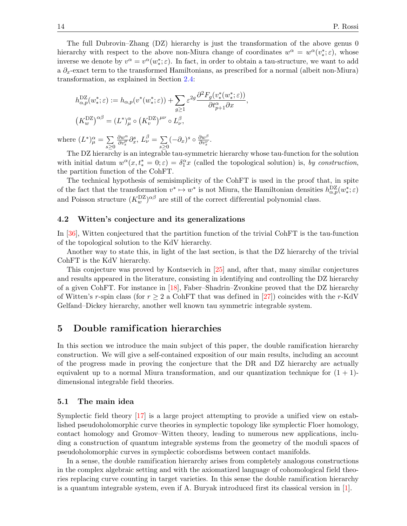The full Dubrovin–Zhang (DZ) hierarchy is just the transformation of the above genus 0 hierarchy with respect to the above non-Miura change of coordinates  $w^{\alpha} = w^{\alpha}(v^*_{*}; \varepsilon)$ , whose inverse we denote by  $v^{\alpha} = v^{\alpha}(w^*_{*}; \varepsilon)$ . In fact, in order to obtain a tau-structure, we want to add a  $\partial_x$ -exact term to the transformed Hamiltonians, as prescribed for a normal (albeit non-Miura) transformation, as explained in Section [2.4:](#page-3-1)

$$
h_{\alpha,p}^{\mathbf{DZ}}(w^*_{*};\varepsilon) := h_{\alpha,p}(v^*(w^*_{*};\varepsilon)) + \sum_{g \ge 1} \varepsilon^{2g} \frac{\partial^2 F_g(v^*_{*}(w^*_{*};\varepsilon))}{\partial t_{p+1}^{\alpha} \partial x},
$$
  

$$
(K_w^{\mathbf{DZ}})^{\alpha\beta} = (L^*)_{\mu}^{\alpha} \circ (K_v^{\mathbf{DZ}})^{\mu\nu} \circ L_{\nu}^{\beta},
$$

where  $(L^*)^{\alpha}_{\mu} = \sum$  $s \geq 0$  $\frac{\partial w^{\alpha}}{\partial v_s^{\mu}} \partial_x^s, L_{\nu}^{\beta} = \sum_{s \geq 0}$  $s \geq 0$  $(-\partial_x)^s \circ \frac{\partial w^{\beta}}{\partial v^{\nu}}$  $\frac{\partial w^{\nu}}{\partial v^{\nu}_s}.$ 

The DZ hierarchy is an integrable tau-symmetric hierarchy whose tau-function for the solution with initial datum  $w^{\alpha}(x,t^* = 0;\varepsilon) = \delta_1^{\alpha}x$  (called the topological solution) is, by construction, the partition function of the CohFT.

The technical hypothesis of semisimplicity of the CohFT is used in the proof that, in spite of the fact that the transformation  $v^* \mapsto w^*$  is not Miura, the Hamiltonian densities  $h_{\alpha,p}^{DZ}(w^*; \varepsilon)$ and Poisson structure  $(K_w^{\mathsf{DZ}})^{\alpha\beta}$  are still of the correct differential polynomial class.

#### 4.2 Witten's conjecture and its generalizations

In [\[36\]](#page-28-17), Witten conjectured that the partition function of the trivial CohFT is the tau-function of the topological solution to the KdV hierarchy.

Another way to state this, in light of the last section, is that the DZ hierarchy of the trivial CohFT is the KdV hierarchy.

This conjecture was proved by Kontsevich in [\[25\]](#page-28-18) and, after that, many similar conjectures and results appeared in the literature, consisting in identifying and controlling the DZ hierarchy of a given CohFT. For instance in [\[18\]](#page-28-19), Faber–Shadrin–Zvonkine proved that the DZ hierarchy of Witten's r-spin class (for  $r \geq 2$  a CohFT that was defined in [\[27\]](#page-28-10)) coincides with the r-KdV Gelfand–Dickey hierarchy, another well known tau symmetric integrable system.

## <span id="page-13-0"></span>5 Double ramification hierarchies

In this section we introduce the main subject of this paper, the double ramification hierarchy construction. We will give a self-contained exposition of our main results, including an account of the progress made in proving the conjecture that the DR and DZ hierarchy are actually equivalent up to a normal Miura transformation, and our quantization technique for  $(1 + 1)$ dimensional integrable field theories.

#### 5.1 The main idea

Symplectic field theory [\[17\]](#page-28-0) is a large project attempting to provide a unified view on established pseudoholomorphic curve theories in symplectic topology like symplectic Floer homology, contact homology and Gromov–Witten theory, leading to numerous new applications, including a construction of quantum integrable systems from the geometry of the moduli spaces of pseudoholomorphic curves in symplectic cobordisms between contact manifolds.

In a sense, the double ramification hierarchy arises from completely analogous constructions in the complex algebraic setting and with the axiomatized language of cohomological field theories replacing curve counting in target varieties. In this sense the double ramification hierarchy is a quantum integrable system, even if A. Buryak introduced first its classical version in [\[1\]](#page-27-0).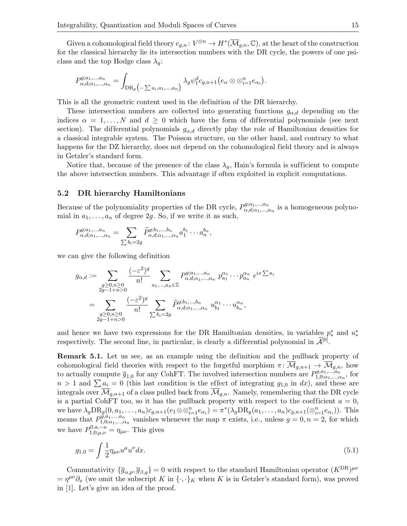Given a cohomological field theory  $c_{g,n}: V^{\otimes n} \to H^*(\overline{\mathcal{M}}_{g,n}, \mathbb{C})$ , at the heart of the construction for the classical hierarchy lie its intersection numbers with the DR cycle, the powers of one psiclass and the top Hodge class  $\lambda_q$ :

$$
P_{\alpha,d;\alpha_1,...,\alpha_n}^{g;a_1,...,a_n} = \int_{\mathrm{DR}_g\big(\text{-} \sum a_i,a_1,...,a_n\big)} \lambda_g \psi_1^d c_{g,n+1}\big(e_\alpha \otimes \otimes_{i=1}^n e_{\alpha_i}\big).
$$

This is all the geometric content used in the definition of the DR hierarchy.

These intersection numbers are collected into generating functions  $g_{\alpha,d}$  depending on the indices  $\alpha = 1, \ldots, N$  and  $d \geq 0$  which have the form of differential polynomials (see next section). The differential polynomials  $g_{\alpha,d}$  directly play the role of Hamiltonian densities for a classical integrable system. The Poisson structure, on the other hand, and contrary to what happens for the DZ hierarchy, does not depend on the cohomological field theory and is always in Getzler's standard form.

Notice that, because of the presence of the class  $\lambda_q$ , Hain's formula is sufficient to compute the above intersection numbers. This advantage if often exploited in explicit computations.

#### 5.2 DR hierarchy Hamiltonians

Because of the polynomiality properties of the DR cycle,  $P_{\alpha d \alpha}^{g; a_1,...,a_n}$  $a_{\alpha,d;\alpha_1,\ldots,\alpha_n}^{q; a_1,\ldots,a_n}$  is a homogeneous polynomial in  $a_1, \ldots, a_n$  of degree 2g. So, if we write it as such,

$$
P_{\alpha,d;\alpha_1,\ldots,\alpha_n}^{g;a_1,\ldots,a_n} = \sum_{\sum b_i=2g} \widetilde{P}_{\alpha,d;\alpha_1,\ldots,\alpha_n}^{g;b_1,\ldots,b_n} a_1^{b_1} \cdots a_n^{b_n},
$$

we can give the following definition

$$
g_{\alpha,d} := \sum_{\substack{g \geq 0,n \geq 0 \\ 2g-1+n>0}} \frac{(-\varepsilon^2)^g}{n!} \sum_{a_1,\dots,a_n \in \mathbb{Z}} P_{\alpha,d;\alpha_1,\dots,\alpha_n}^{g;a_1,\dots,a_n} p_{a_1}^{\alpha_1} \cdots p_{a_n}^{\alpha_n} e^{ix \sum a_i}
$$

$$
= \sum_{\substack{g \geq 0,n \geq 0 \\ 2g-1+n>0}} \frac{(-\varepsilon^2)^g}{n!} \sum_{\substack{\sum b_i=2g \\ \sum b_i=2g}} \widetilde{P}_{\alpha,d;\alpha_1,\dots,\alpha_n}^{g;b_1,\dots,b_n} u_{b_1}^{\alpha_1} \cdots u_{b_n}^{\alpha_n},
$$

and hence we have two expressions for the DR Hamiltonian densities, in variables  $p^*$  and  $u^*$ respectively. The second line, in particular, is clearly a differential polynomial in  $\hat{\mathcal{A}}^{[0]}$ .

Remark 5.1. Let us see, as an example using the definition and the pullback property of cohomological field theories with respect to the forgetful morphism  $\pi \colon \overline{\mathcal{M}}_{g,n+1} \to \overline{\mathcal{M}}_{g,n}$ , how to actually compute  $\overline{g}_{1,0}$  for any CohFT. The involved intersection numbers are  $P_{1,0;\alpha_1,\dots,\alpha_n}^{g,a_1,\dots,a_n}$  $a_{1,0;\alpha_1,...,\alpha_n}^{q,a_1,...,a_n}$ , for  $n > 1$  and  $\sum a_i = 0$  (this last condition is the effect of integrating  $g_{1,0}$  in dx), and these are integrals over  $\overline{\mathcal{M}}_{q,n+1}$  of a class pulled back from  $\overline{\mathcal{M}}_{q,n}$ . Namely, remembering that the DR cycle is a partial CohFT too, so it has the pullback property with respect to the coefficient  $a = 0$ , we have  $\lambda_g \text{DR}_g(0, a_1, \dots, a_n) c_{g,n+1}(e_1 \otimes \otimes_{i=1}^n e_{\alpha_i}) = \pi^*(\lambda_g \text{DR}_g(a_1, \dots, a_n) c_{g,n+1}(\otimes_{i=1}^n e_{\alpha_i}))$ . This means that  $P_{1,0,\alpha_1}^{\tilde{g},a_1,\dots,a_n}$  $1,0;\alpha_1,\ldots,\alpha_n$  vanishes whenever the map  $\pi$  exists, i.e., unless  $g=0, n=2$ , for which we have  $P_{1,0;\mu,\nu}^{0,a,-a} = \eta_{\mu\nu}$ . This gives

<span id="page-14-0"></span>
$$
g_{1,0} = \int \frac{1}{2} \eta_{\mu\nu} u^{\mu} u^{\nu} dx. \tag{5.1}
$$

Commutativity  $\{\overline{g}_{\alpha,p}, \overline{g}_{\beta,q}\}=0$  with respect to the standard Hamiltonian operator  $(K^{DR})^{\mu\nu}$  $=\eta^{\mu\nu}\partial_x$  (we omit the subscript K in  $\{\cdot,\cdot\}_K$  when K is in Getzler's standard form), was proved in [\[1\]](#page-27-0). Let's give an idea of the proof.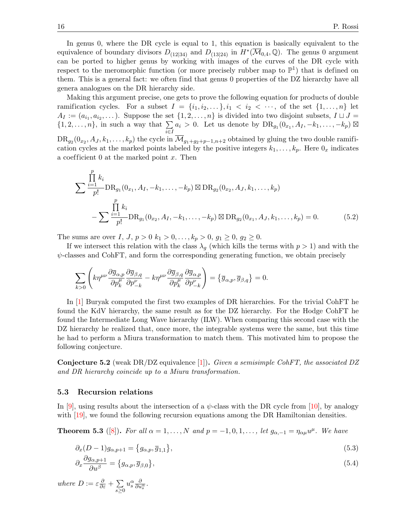In genus 0, where the DR cycle is equal to 1, this equation is basically equivalent to the equivalence of boundary divisors  $D_{(12|34)}$  and  $D_{(13|24)}$  in  $H^*(\overline{\mathcal{M}}_{0,4}, \mathbb{Q})$ . The genus 0 argument can be ported to higher genus by working with images of the curves of the DR cycle with respect to the meromorphic function (or more precisely rubber map to  $\mathbb{P}^1$ ) that is defined on them. This is a general fact: we often find that genus 0 properties of the DZ hierarchy have all genera analogues on the DR hierarchy side.

Making this argument precise, one gets to prove the following equation for products of double ramification cycles. For a subset  $I = \{i_1, i_2, \ldots\}, i_1 < i_2 < \cdots$ , of the set  $\{1, \ldots, n\}$  let  $A_I := (a_{i_1}, a_{i_2}, \dots)$ . Suppose the set  $\{1, 2, \dots, n\}$  is divided into two disjoint subsets,  $I \sqcup J =$  $\{1, 2, \ldots, n\}$ , in such a way that  $\Sigma$  $\sum_{i\in I} a_i > 0$ . Let us denote by  $\text{DR}_{g_1}(0_{x_1}, A_I, -k_1, \ldots, -k_p)$   $\boxtimes$  $\text{DR}_{g_2}(0_{x_2},A_J,k_1,\ldots,k_p)$  the cycle in  $\overline{\mathcal{M}}_{g_1+g_2+p-1,n+2}$  obtained by gluing the two double ramification cycles at the marked points labeled by the positive integers  $k_1, \ldots, k_p$ . Here  $0_x$  indicates

<span id="page-15-2"></span>
$$
\sum \frac{\prod\limits_{i=1}^{p} k_i}{p!} \text{DR}_{g_1}(0_{x_1}, A_I, -k_1, \dots, -k_p) \boxtimes \text{DR}_{g_2}(0_{x_2}, A_J, k_1, \dots, k_p)
$$

$$
-\sum \frac{\prod\limits_{i=1}^{p} k_i}{p!} \text{DR}_{g_1}(0_{x_2}, A_I, -k_1, \dots, -k_p) \boxtimes \text{DR}_{g_2}(0_{x_1}, A_J, k_1, \dots, k_p) = 0. \tag{5.2}
$$

The sums are over I,  $J, p > 0$   $k_1 > 0, ..., k_p > 0, g_1 \geq 0, g_2 \geq 0.$ 

a coefficient  $0$  at the marked point  $x$ . Then

If we intersect this relation with the class  $\lambda_q$  (which kills the terms with  $p > 1$ ) and with the  $\psi$ -classes and CohFT, and form the corresponding generating function, we obtain precisely

$$
\sum_{k>0} \left( k\eta^{\mu\nu} \frac{\partial \overline{g}_{\alpha,p}}{\partial p_k^{\mu}} \frac{\partial \overline{g}_{\beta,q}}{\partial p_{-k}^{\nu}} - k\eta^{\mu\nu} \frac{\partial \overline{g}_{\beta,q}}{\partial p_k^{\mu}} \frac{\partial \overline{g}_{\alpha,p}}{\partial p_{-k}^{\nu}} \right) = \left\{ \overline{g}_{\alpha,p}, \overline{g}_{\beta,q} \right\} = 0.
$$

In [\[1\]](#page-27-0) Buryak computed the first two examples of DR hierarchies. For the trivial CohFT he found the KdV hierarchy, the same result as for the DZ hierarchy. For the Hodge CohFT he found the Intermediate Long Wave hierarchy (ILW). When comparing this second case with the DZ hierarchy he realized that, once more, the integrable systems were the same, but this time he had to perform a Miura transformation to match them. This motivated him to propose the following conjecture.

**Conjecture 5.2** (weak DR/DZ equivalence [\[1\]](#page-27-0)). Given a semisimple CohFT, the associated DZ and DR hierarchy coincide up to a Miura transformation.

#### 5.3 Recursion relations

In [\[9\]](#page-27-5), using results about the intersection of a  $\psi$ -class with the DR cycle from [\[10\]](#page-27-12), by analogy with [\[19\]](#page-28-1), we found the following recursion equations among the DR Hamiltonian densities.

<span id="page-15-3"></span>**Theorem 5.3** ([\[8\]](#page-27-4)). For all  $\alpha = 1, ..., N$  and  $p = -1, 0, 1, ...,$  let  $g_{\alpha, -1} = \eta_{\alpha\mu}u^{\mu}$ . We have

<span id="page-15-0"></span>
$$
\partial_x (D-1) g_{\alpha, p+1} = \{g_{\alpha, p}, \overline{g}_{1, 1}\},\tag{5.3}
$$

<span id="page-15-1"></span>
$$
\partial_x \frac{\partial g_{\alpha, p+1}}{\partial u^\beta} = \{g_{\alpha, p}, \overline{g}_{\beta, 0}\},\tag{5.4}
$$

where  $D := \varepsilon \frac{\partial}{\partial \varepsilon} + \sum$  $s \geq 0$  $u_s^{\alpha} \frac{\partial}{\partial u_s^{\alpha}}$ .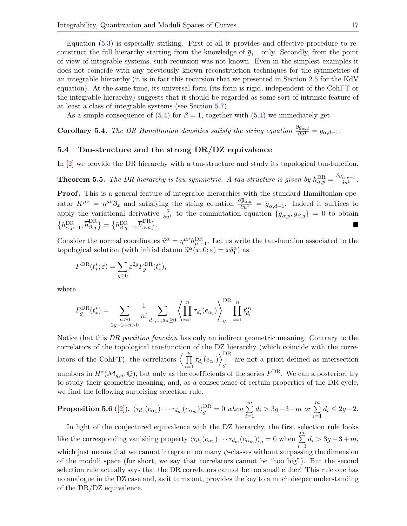Equation  $(5.3)$  is especially striking. First of all it provides and effective procedure to reconstruct the full hierarchy starting from the knowledge of  $\bar{g}_{1,1}$  only. Secondly, from the point of view of integrable systems, such recursion was not known. Even in the simplest examples it does not coincide with any previously known reconstruction techniques for the symmetries of an integrable hierarchy (it is in fact this recursion that we presented in Section [2.5](#page-4-0) for the KdV equation). At the same time, its universal form (its form is rigid, independent of the CohFT or the integrable hierarchy) suggests that it should be regarded as some sort of intrinsic feature of at least a class of integrable systems (see Section [5.7\)](#page-19-0).

As a simple consequence of [\(5.4\)](#page-15-1) for  $\beta = 1$ , together with [\(5.1\)](#page-14-0) we immediately get

**Corollary 5.4.** The DR Hamiltonian densities satisfy the string equation  $\frac{\partial g_{\alpha,d}}{\partial u^1} = g_{\alpha,d-1}$ .

#### 5.4 Tau-structure and the strong DR/DZ equivalence

In [\[2\]](#page-27-1) we provide the DR hierarchy with a tau-structure and study its topological tau-function.

**Theorem 5.5.** The DR hierarchy is tau-symmetric. A tau-structure is given by  $h_{\alpha,p}^{\text{DR}} = \frac{\delta \bar{g}_{\alpha,p+1}}{\delta u^1}$ .

Proof. This is a general feature of integrable hierarchies with the standard Hamiltonian operator  $K^{\mu\nu} = \eta^{\mu\nu}\partial_x$  and satisfying the string equation  $\frac{\partial \overline{g}_{\alpha,d}}{\partial u^1} = \overline{g}_{\alpha,d-1}$ . Indeed it suffices to apply the variational derivative  $\frac{\delta}{\delta u^1}$  to the commutation equation  ${\{\overline{g}_{\alpha,p}, \overline{g}_{\beta,q}\}} = 0$  to obtain  ${h_{\alpha,p-1}^{\rm DR},\overline{h}_{\beta,q}^{\rm DR}}={h_{\beta,q-1}^{\rm DR},\overline{h}_{\alpha,p}^{\rm DR}}$ .

Consider the normal coordinates  $\tilde{u}^{\alpha} = \eta^{\mu\nu} h_{\mu,-1}^{DR}$ . Let us write the tau-function associated to the tap-logical solution (with initial datum  $\tilde{\chi}^{\alpha}(\alpha, 0, \alpha) = \pi \delta^{\alpha}$ ) as topological solution (with initial datum  $\tilde{u}^{\alpha}(x, 0; \varepsilon) = x \delta_1^{\alpha}$ ) as

$$
F^{\text{DR}}(t_*^*; \varepsilon) = \sum_{g \geq 0} \varepsilon^{2g} F^{\text{DR}}_g(t_*^*),
$$

where

$$
F_g^{\text{DR}}(t_*^*) = \sum_{\substack{n \geq 0 \\ 2g - 2 + n > 0}} \frac{1}{n!} \sum_{d_1, \dots, d_n \geq 0} \left\langle \prod_{i=1}^n \tau_{d_i}(e_{\alpha_i}) \right\rangle_g^{\text{DR}} \prod_{i=1}^n t_{d_i}^{\alpha_i}.
$$

Notice that this DR partition function has only an indirect geometric meaning. Contrary to the correlators of the topological tau-function of the DZ hierarchy (which coincide with the correlators of the CohFT), the correlators  $\langle \prod_{n=1}^n$  $\prod_{i=1}^n \tau_{d_i}(e_{\alpha_i})\Big\rangle_{g}^{\text{DR}}$ g are not a priori defined as intersection numbers in  $H^*(\overline{\mathcal{M}}_{g,n},\mathbb{Q})$ , but only as the coefficients of the series  $F^{DR}$ . We can a posteriori try to study their geometric meaning, and, as a consequence of certain properties of the DR cycle, we find the following surprising selection rule.

#### <span id="page-16-0"></span>Proposition 5.6 ([\[2\]](#page-27-1)).  $\langle \tau_{d_1}(e_{\alpha_1}) \cdots \tau_{d_m}(e_{\alpha_m}) \rangle^{\text{DR}}_g = 0$  when  $\sum\limits_{i=1}^m$  $d_i > 3g-3+m$  or  $\sum^m$  $i=1$  $d_i \leq 2g-2.$

In light of the conjectured equivalence with the DZ hierarchy, the first selection rule looks like the corresponding vanishing property  $\langle \tau_{d_1}(e_{\alpha_1}) \cdots \tau_{d_m}(e_{\alpha_m}) \rangle_g = 0$  when  $\sum_{i=1}^m$  $d_i > 3g - 3 + m,$ which just means that we cannot integrate too many  $\psi$ -classes without surpassing the dimension of the moduli space (for short, we say that correlators cannot be "too big"). But the second selection rule actually says that the DR correlators cannot be too small either! This rule one has no analogue in the DZ case and, as it turns out, provides the key to a much deeper understanding of the DR/DZ equivalence.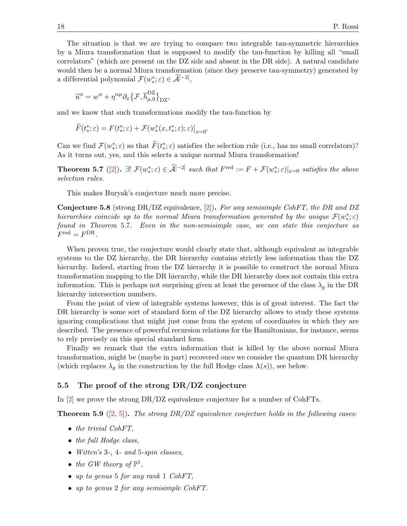The situation is that we are trying to compare two integrable tau-symmetric hierarchies by a Miura transformation that is supposed to modify the tau-function by killing all "small correlators" (which are present on the DZ side and absent in the DR side). A natural candidate would then be a normal Miura transformation (since they preserve tau-symmetry) generated by a differential polynomial  $\mathcal{F}(w^*_*; \varepsilon) \in \widehat{\mathcal{A}}^{[-2]}$ ,

$$
\widetilde{u}^{\alpha} = w^{\alpha} + \eta^{\alpha \mu} \partial_x \{ \mathcal{F}, \overline{h}^{\text{DZ}}_{\mu,0} \}_{\text{DZ}},
$$

and we know that such transformations modify the tau-function by

$$
\widetilde{F}(t_*^*; \varepsilon) = F(t_*^*; \varepsilon) + \mathcal{F}(w_*^*(x, t_*^*; \varepsilon); \varepsilon)\big|_{x=0}.
$$

Can we find  $\mathcal{F}(w^*_*; \varepsilon)$  so that  $\widetilde{F}(t^*_*; \varepsilon)$  satisfies the selection rule (i.e., has no small correlators)? As it turns out, yes, and this selects a unique normal Miura transformation!

<span id="page-17-0"></span>**Theorem 5.7** ([\[2\]](#page-27-1)).  $\exists! \ \mathcal{F}(w^*_*; \varepsilon) \in \widehat{\mathcal{A}}^{[-2]}$  such that  $F^{\text{red}} := F + \mathcal{F}(w^*_*; \varepsilon)|_{x=0}$  satisfies the above selection rules.

This makes Buryak's conjecture much more precise.

<span id="page-17-1"></span>**Conjecture 5.8** (strong DR/DZ equivalence, [\[2\]](#page-27-1)). For any semisimple CohFT, the DR and DZ hierarchies coincide up to the normal Miura transformation generated by the unique  $\mathcal{F}(w^*_*; \varepsilon)$ found in Theorem [5.7](#page-17-0). Even in the non-semisimple case, we can state this conjecture as  $F^{\text{red}} = F^{\text{DR}}.$ 

When proven true, the conjecture would clearly state that, although equivalent as integrable systems to the DZ hierarchy, the DR hierarchy contains strictly less information than the DZ hierarchy. Indeed, starting from the DZ hierarchy it is possible to construct the normal Miura transformation mapping to the DR hierarchy, while the DR hierarchy does not contain this extra information. This is perhaps not surprising given at least the presence of the class  $\lambda_q$  in the DR hierarchy intersection numbers.

From the point of view of integrable systems however, this is of great interest. The fact the DR hierarchy is some sort of standard form of the DZ hierarchy allows to study these systems ignoring complications that might just come from the system of coordinates in which they are described. The presence of powerful recursion relations for the Hamiltonians, for instance, seems to rely precisely on this special standard form.

Finally we remark that the extra information that is killed by the above normal Miura transformation, might be (maybe in part) recovered once we consider the quantum DR hierarchy (which replaces  $\lambda_q$  in the construction by the full Hodge class  $\Lambda(s)$ ), see below.

#### 5.5 The proof of the strong DR/DZ conjecture

In [\[2\]](#page-27-1) we prove the strong DR/DZ equivalence conjecture for a number of CohFTs.

**Theorem 5.9** ([\[2,](#page-27-1) [5\]](#page-27-3)). The strong DR/DZ equivalence conjecture holds in the following cases:

- the trivial CohFT,
- the full Hodge class,
- Witten's 3-, 4- and 5-spin classes,
- the GW theory of  $\mathbb{P}^1$ ,
- up to genus 5 for any rank 1 CohFT.
- up to genus 2 for any semisimple CohFT.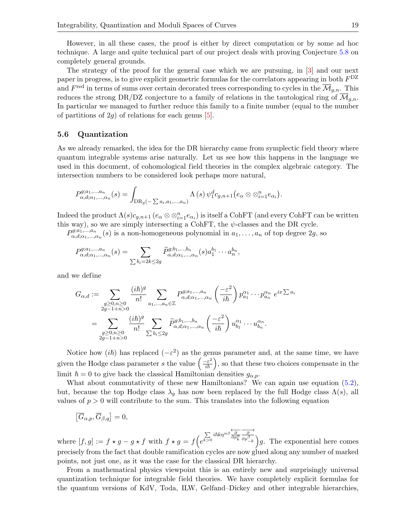However, in all these cases, the proof is either by direct computation or by some ad hoc technique. A large and quite technical part of our project deals with proving Conjecture [5.8](#page-17-1) on completely general grounds.

The strategy of the proof for the general case which we are pursuing, in [\[3\]](#page-27-2) and our next paper in progress, is to give explicit geometric formulas for the correlators appearing in both  $F<sup>DZ</sup>$ and  $F^{\text{red}}$  in terms of sums over certain decorated trees corresponding to cycles in the  $\overline{\mathcal{M}}_{g,n}$ . This reduces the strong DR/DZ conjecture to a family of relations in the tautological ring of  $\overline{\mathcal{M}}_{g,n}$ . In particular we managed to further reduce this family to a finite number (equal to the number of partitions of  $2g$ ) of relations for each genus [\[5\]](#page-27-3).

#### 5.6 Quantization

As we already remarked, the idea for the DR hierarchy came from symplectic field theory where quantum integrable systems arise naturally. Let us see how this happens in the language we used in this document, of cohomological field theories in the complex algebraic category. The intersection numbers to be considered look perhaps more natural,

$$
P_{\alpha,d;\alpha_1,\dots,\alpha_n}^{g;a_1,\dots,a_n}(s) = \int_{\text{DR}_g(-\sum a_i,a_1,\dots,a_n)} \Lambda(s) \,\psi_1^d c_{g,n+1}\big(e_\alpha \otimes \otimes_{i=1}^n e_{\alpha_i}\big).
$$

Indeed the product  $\Lambda(s)c_{g,n+1}$   $(e_{\alpha}\otimes \otimes_{i=1}^{n}e_{\alpha_i})$  is itself a CohFT (and every CohFT can be written this way), so we are simply intersecting a CohFT, the  $\psi$ -classes and the DR cycle.

 $P^{g;a_1,\ldots,a_n}_{\alpha d:\alpha_1}$  $a_{\alpha,d;\alpha_1,\ldots,\alpha_n}(s)$  is a non-homogeneous polynomial in  $a_1,\ldots,a_n$  of top degree  $2g$ , so

$$
P_{\alpha,d;\alpha_1,\dots,\alpha_n}^{g;a_1,\dots,a_n}(s) = \sum_{\sum b_i=2k\leq 2g} \widetilde{P}_{\alpha,d;\alpha_1,\dots,\alpha_n}^{g;b_1,\dots,b_n}(s) a_1^{b_1}\cdots a_n^{b_n},
$$

and we define

$$
G_{\alpha,d} := \sum_{\substack{g \ge 0, n \ge 0 \\ 2g-1+n>0}} \frac{(i\hbar)^g}{n!} \sum_{a_1,\dots,a_n \in \mathbb{Z}} P_{\alpha,d;\alpha_1,\dots,\alpha_n}^{g;a_1,\dots,a_n} \left(\frac{-\varepsilon^2}{i\hbar}\right) p_{a_1}^{\alpha_1} \cdots p_{a_n}^{\alpha_n} e^{ix \sum a_i}
$$

$$
= \sum_{\substack{g \ge 0, n \ge 0 \\ 2g-1+n>0}} \frac{(i\hbar)^g}{n!} \sum_{\substack{\sum b_i \le 2g}} \widetilde{P}_{\alpha,d;\alpha_1,\dots,\alpha_n}^{g;b_1,\dots,b_n} \left(\frac{-\varepsilon^2}{i\hbar}\right) u_{b_1}^{\alpha_1} \cdots u_{b_n}^{\alpha_n}.
$$

Notice how  $(i\hbar)$  has replaced  $(-\varepsilon^2)$  as the genus parameter and, at the same time, we have given the Hodge class parameter s the value  $\left(\frac{-\varepsilon^2}{i\hbar}\right)$ , so that these two choices compensate in the limit  $\hbar = 0$  to give back the classical Hamiltonian densities  $g_{\alpha,p}$ .

What about commutativity of these new Hamiltonians? We can again use equation [\(5.2\)](#page-15-2), but, because the top Hodge class  $\lambda_g$  has now been replaced by the full Hodge class  $\Lambda(s)$ , all values of  $p > 0$  will contribute to the sum. This translates into the following equation

$$
\left[\overline{G}_{\alpha,p}, \overline{G}_{\beta,q}\right] = 0,
$$

where  $[f, g] := f \star g - g \star f$  with  $f \star g = f(e)$  $\sum_{k>0} i\hbar k\eta^{\alpha\beta} \frac{\overleftarrow{\partial}}{\partial p_k^{\alpha}}$  $\longrightarrow$  $\sqrt{\frac{\partial p_{-k}^{\beta}}{\partial p_{-k}}}\right)g$ . The exponential here comes precisely from the fact that double ramification cycles are now glued along any number of marked points, not just one, as it was the case for the classical DR hierarchy.

From a mathematical physics viewpoint this is an entirely new and surprisingly universal quantization technique for integrable field theories. We have completely explicit formulas for the quantum versions of KdV, Toda, ILW, Gelfand–Dickey and other integrable hierarchies,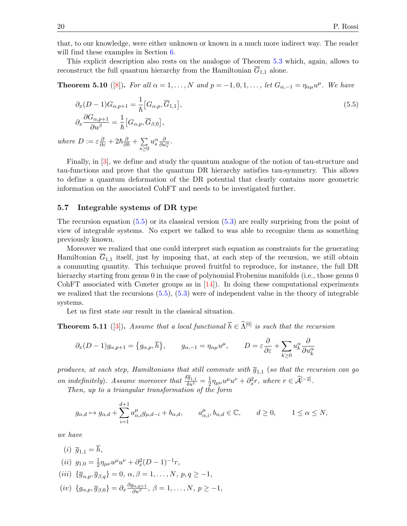that, to our knowledge, were either unknown or known in a much more indirect way. The reader will find these examples in Section [6.](#page-21-0)

This explicit description also rests on the analogue of Theorem [5.3](#page-15-3) which, again, allows to reconstruct the full quantum hierarchy from the Hamiltonian  $\overline{G}_{1,1}$  alone.

**Theorem 5.10** ([\[8\]](#page-27-4)). For all  $\alpha = 1, ..., N$  and  $p = -1, 0, 1, ...,$  let  $G_{\alpha, -1} = \eta_{\alpha\mu}u^{\mu}$ . We have

<span id="page-19-1"></span>
$$
\partial_x (D-1) G_{\alpha, p+1} = \frac{1}{\hbar} \left[ G_{\alpha, p}, \overline{G}_{1, 1} \right],
$$
\n
$$
\partial_x \frac{\partial G_{\alpha, p+1}}{\partial u^\beta} = \frac{1}{\hbar} \left[ G_{\alpha, p}, \overline{G}_{\beta, 0} \right],
$$
\n(5.5)

where  $D := \varepsilon \frac{\partial}{\partial \varepsilon} + 2\hbar \frac{\partial}{\partial \hbar} + \sum_{\Delta}$  $s \geq 0$  $u_s^{\alpha} \frac{\partial}{\partial u_s^{\alpha}}$ .

Finally, in [\[3\]](#page-27-2), we define and study the quantum analogue of the notion of tau-structure and tau-functions and prove that the quantum DR hierarchy satisfies tau-symmetry. This allows to define a quantum deformation of the DR potential that clearly contains more geometric information on the associated CohFT and needs to be investigated further.

#### <span id="page-19-0"></span>5.7 Integrable systems of DR type

The recursion equation  $(5.5)$  or its classical version  $(5.3)$  are really surprising from the point of view of integrable systems. No expert we talked to was able to recognize them as something previously known.

Moreover we realized that one could interpret such equation as constraints for the generating Hamiltonian  $\overline{G}_{1,1}$  itself, just by imposing that, at each step of the recursion, we still obtain a commuting quantity. This technique proved fruitful to reproduce, for instance, the full DR hierarchy starting from genus 0 in the case of polynomial Frobenius manifolds (i.e., those genus 0 CohFT associated with Coxeter groups as in [\[14\]](#page-27-13)). In doing these computational experiments we realized that the recursions  $(5.5)$ ,  $(5.3)$  were of independent value in the theory of integrable systems.

Let us first state our result in the classical situation.

**Theorem 5.11** ([\[3\]](#page-27-2)). Assume that a local functional  $\overline{h} \in \widehat{\Lambda}^{[0]}$  is such that the recursion

$$
\partial_x (D-1) g_{\alpha,p+1} = \{g_{\alpha,p}, \overline{h}\}, \qquad g_{\alpha,-1} = \eta_{\alpha\mu} u^{\mu}, \qquad D = \varepsilon \frac{\partial}{\partial \varepsilon} + \sum_{k \ge 0} u_k^{\alpha} \frac{\partial}{\partial u_k^{\alpha}}
$$

produces, at each step, Hamiltonians that still commute with  $\overline{g}_{1,1}$  (so that the recursion can go on indefinitely). Assume moreover that  $\frac{\delta \bar{g}_{1,1}}{\delta u^1} = \frac{1}{2}$  $\frac{1}{2} \eta_{\mu\nu} u^{\mu} u^{\nu} + \partial_x^2 r$ , where  $r \in \widehat{\mathcal{A}}^{[-2]}$ .

Then, up to a triangular transformation of the form

$$
g_{\alpha,d} \mapsto g_{\alpha,d} + \sum_{i=1}^{d+1} a_{\alpha,i}^{\mu} g_{\mu,d-i} + b_{\alpha,d}, \qquad a_{\alpha,i}^{\mu}, b_{\alpha,d} \in \mathbb{C}, \qquad d \ge 0, \qquad 1 \le \alpha \le N,
$$

we have

(*i*) 
$$
\overline{g}_{1,1} = \overline{h}
$$
,  
\n(*ii*)  $g_{1,0} = \frac{1}{2} \eta_{\mu\nu} u^{\mu} u^{\nu} + \partial_x^2 (D - 1)^{-1} r$ ,  
\n(*iii*)  $\{ \overline{g}_{\alpha,p}, \overline{g}_{\beta,q} \} = 0$ ,  $\alpha, \beta = 1, ..., N$ ,  $p, q \ge -1$ ,  
\n(*iv*)  $\{ g_{\alpha,p}, \overline{g}_{\beta,0} \} = \partial_x \frac{\partial g_{\alpha,p+1}}{\partial u^{\beta}}$ ,  $\beta = 1, ..., N$ ,  $p \ge -1$ ,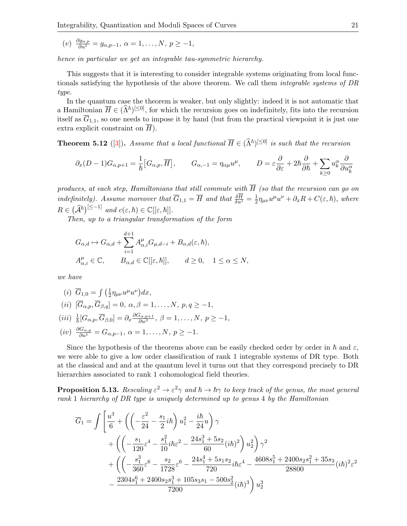(v)  $\frac{\partial g_{\alpha,p}}{\partial u^1} = g_{\alpha,p-1}, \ \alpha = 1, \ldots, N, \ p \ge -1,$ 

hence in particular we get an integrable tau-symmetric hierarchy.

This suggests that it is interesting to consider integrable systems originating from local functionals satisfying the hypothesis of the above theorem. We call them integrable systems of DR type.

In the quantum case the theorem is weaker, but only slightly: indeed it is not automatic that a Hamiltonian  $\overline{H} \in (\hat{\Lambda}^{\hbar})^{[\leq 0]}$ , for which the recursion goes on indefinitely, fits into the recursion itself as  $\overline{G}_{1,1}$ , so one needs to impose it by hand (but from the practical viewpoint it is just one extra explicit constraint on  $\overline{H}$ ).

<span id="page-20-0"></span>**Theorem 5.12** ([\[3\]](#page-27-2)). Assume that a local functional  $\overline{H} \in (\hat{\Lambda}^{\hbar})^{[\leq 0]}$  is such that the recursion

$$
\partial_x (D-1) G_{\alpha,p+1} = \frac{1}{\hbar} \left[ G_{\alpha,p}, \overline{H} \right], \qquad G_{\alpha,-1} = \eta_{\alpha\mu} u^{\mu}, \qquad D = \varepsilon \frac{\partial}{\partial \varepsilon} + 2\hbar \frac{\partial}{\partial \hbar} + \sum_{k \ge 0} u_k^{\alpha} \frac{\partial}{\partial u_k^{\alpha}}
$$

produces, at each step, Hamiltonians that still commute with  $\overline{H}$  (so that the recursion can go on indefinitely). Assume moreover that  $\overline{G}_{1,1} = \overline{H}$  and that  $\frac{\delta \overline{H}}{\delta u^1} = \frac{1}{2}$  $\frac{1}{2}\eta_{\mu\nu}u^{\mu}u^{\nu} + \partial_x R + C(\varepsilon, \hbar),$  where  $R \in (\widehat{\mathcal{A}}^{\hbar})^{[\leq -1]}$  and  $c(\varepsilon, \hbar) \in \mathbb{C}[[\varepsilon, \hbar]].$ 

Then, up to a triangular transformation of the form

$$
G_{\alpha,d} \mapsto G_{\alpha,d} + \sum_{i=1}^{d+1} A_{\alpha,i}^{\mu} G_{\mu,d-i} + B_{\alpha,d}(\varepsilon,\hbar),
$$
  

$$
A_{\alpha,i}^{\mu} \in \mathbb{C}, \qquad B_{\alpha,d} \in \mathbb{C}[[\varepsilon,\hbar]], \qquad d \ge 0, \quad 1 \le \alpha \le N,
$$

we have

(i) 
$$
\overline{G}_{1,0} = \int \left(\frac{1}{2} \eta_{\mu\nu} u^{\mu} u^{\nu}\right) dx
$$
,  
\n(ii)  $[\overline{G}_{\alpha,p}, \overline{G}_{\beta,q}] = 0, \alpha, \beta = 1, ..., N, p, q \ge -1$ ,  
\n(iii)  $\frac{1}{\hbar} [G_{\alpha,p}, \overline{G}_{\beta,0}] = \partial_x \frac{\partial G_{\alpha,p+1}}{\partial u^{\beta}}, \beta = 1, ..., N, p \ge -1$ ,  
\n(iv)  $\frac{\partial G_{\alpha,p}}{\partial u^1} = G_{\alpha,p-1}, \alpha = 1, ..., N, p \ge -1$ .

Since the hypothesis of the theorems above can be easily checked order by order in  $\hbar$  and  $\varepsilon$ , we were able to give a low order classification of rank 1 integrable systems of DR type. Both at the classical and and at the quantum level it turns out that they correspond precisely to DR hierarchies associated to rank 1 cohomological field theories.

**Proposition 5.13.** Rescaling  $\varepsilon^2 \to \varepsilon^2 \gamma$  and  $\hbar \to \hbar \gamma$  to keep track of the genus, the most general rank 1 hierarchy of DR type is uniquely determined up to genus 4 by the Hamiltonian

$$
\overline{G}_1 = \int \left[ \frac{u^3}{6} + \left( \left( -\frac{\varepsilon^2}{24} - \frac{s_1}{2} i \hbar \right) u_1^2 - \frac{i \hbar}{24} u \right) \gamma \right. \\
\left. + \left( \left( -\frac{s_1}{120} \varepsilon^4 - \frac{s_1^2}{10} i \hbar \varepsilon^2 - \frac{24 s_1^3 + 5 s_2}{60} (i \hbar)^2 \right) u_2^2 \right) \gamma^2 \right. \\
\left. + \left( \left( -\frac{s_1^3}{360} \varepsilon^6 - \frac{s_2}{1728} \varepsilon^6 - \frac{24 s_1^4 + 5 s_1 s_2}{720} i \hbar \varepsilon^4 - \frac{4608 s_1^5 + 2400 s_2 s_1^2 + 35 s_3}{28800} (i \hbar)^2 \varepsilon^2 \right. \\
\left. - \frac{2304 s_1^6 + 2400 s_2 s_1^3 + 105 s_3 s_1 - 500 s_2^2}{7200} (i \hbar)^3 \right) u_2^3
$$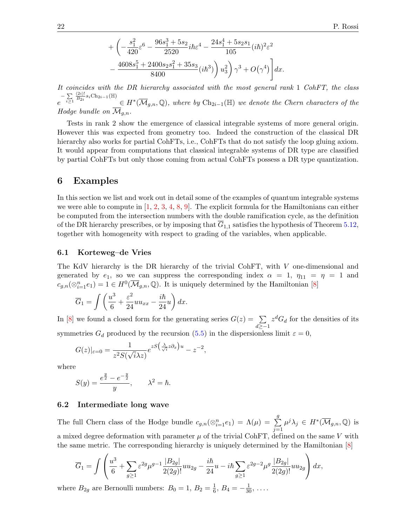$$
+\left(-\frac{s_1^2}{420}\varepsilon^6 - \frac{96s_1^3 + 5s_2}{2520}i\hbar\varepsilon^4 - \frac{24s_1^4 + 5s_2s_1}{105}(i\hbar)^2\varepsilon^2 - \frac{4608s_1^5 + 2400s_2s_1^2 + 35s_3}{8400}(i\hbar^3)\right)u_3^2\right)\gamma^3 + O(\gamma^4)\Bigg]dx.
$$

It coincides with the DR hierarchy associated with the most general rank 1 CohFT, the class e  $-\sum_{i\geq 1}$  $\frac{(2i)!}{B_{2i}}s_i \text{Ch}_{2i-1}(\mathbb{H})$  $\in H^*(\overline{\mathcal{M}}_{g,n}, \mathbb{Q})$ , where by  $\mathrm{Ch}_{2i-1}(\mathbb{H})$  we denote the Chern characters of the Hodge bundle on  $\mathcal{M}_{q,n}$ .

Tests in rank 2 show the emergence of classical integrable systems of more general origin. However this was expected from geometry too. Indeed the construction of the classical DR hierarchy also works for partial CohFTs, i.e., CohFTs that do not satisfy the loop gluing axiom. It would appear from computations that classical integrable systems of DR type are classified by partial CohFTs but only those coming from actual CohFTs possess a DR type quantization.

#### <span id="page-21-0"></span>6 Examples

In this section we list and work out in detail some of the examples of quantum integrable systems we were able to compute in  $[1, 2, 3, 4, 8, 9]$  $[1, 2, 3, 4, 8, 9]$  $[1, 2, 3, 4, 8, 9]$  $[1, 2, 3, 4, 8, 9]$  $[1, 2, 3, 4, 8, 9]$  $[1, 2, 3, 4, 8, 9]$  $[1, 2, 3, 4, 8, 9]$  $[1, 2, 3, 4, 8, 9]$  $[1, 2, 3, 4, 8, 9]$  $[1, 2, 3, 4, 8, 9]$ . The explicit formula for the Hamiltonians can either be computed from the intersection numbers with the double ramification cycle, as the definition of the DR hierarchy prescribes, or by imposing that  $\overline{G}_{1,1}$  satisfies the hypothesis of Theorem [5.12,](#page-20-0) together with homogeneity with respect to grading of the variables, when applicable.

#### 6.1 Korteweg–de Vries

The KdV hierarchy is the DR hierarchy of the trivial CohFT, with V one-dimensional and generated by  $e_1$ , so we can suppress the corresponding index  $\alpha = 1$ ,  $\eta_{11} = \eta = 1$  and  $c_{g,n}(\otimes_{i=1}^{n}e_1)=1 \in H^0(\overline{\mathcal{M}}_{g,n},\mathbb{Q})$ . It is uniquely determined by the Hamiltonian [\[8\]](#page-27-4)

$$
\overline{G}_1 = \int \left(\frac{u^3}{6} + \frac{\varepsilon^2}{24}uu_{xx} - \frac{i\hbar}{24}u\right)dx.
$$

In [\[8\]](#page-27-4) we found a closed form for the generating series  $G(z) = \sum$  $d \geq -1$  $z^d G_d$  for the densities of its symmetries  $G_d$  produced by the recursion [\(5.5\)](#page-19-1) in the dispersionless limit  $\varepsilon = 0$ ,

$$
G(z)|_{\varepsilon=0} = \frac{1}{z^2 S(\sqrt{i}\lambda z)} e^{zS(\frac{\lambda}{\sqrt{i}}z\partial_x)u} - z^{-2},
$$

where

$$
S(y) = \frac{e^{\frac{y}{2}} - e^{-\frac{y}{2}}}{y}, \qquad \lambda^2 = \hbar.
$$

#### 6.2 Intermediate long wave

The full Chern class of the Hodge bundle  $c_{g,n}(\otimes_{i=1}^{n}e_1) = \Lambda(\mu) = \sum_{i=1}^{n}$ g  $j=1$  $\mu^j \lambda_j \in H^*(\overline{\mathcal{M}}_{g,n}, \mathbb{Q})$  is a mixed degree deformation with parameter  $\mu$  of the trivial CohFT, defined on the same V with the same metric. The corresponding hierarchy is uniquely determined by the Hamiltonian [\[8\]](#page-27-4)

$$
\overline{G}_1 = \int \left( \frac{u^3}{6} + \sum_{g \ge 1} \varepsilon^{2g} \mu^{g-1} \frac{|B_{2g}|}{2(2g)!} u u_{2g} - \frac{i\hbar}{24} u - i\hbar \sum_{g \ge 1} \varepsilon^{2g-2} \mu^g \frac{|B_{2g}|}{2(2g)!} u u_{2g} \right) dx,
$$

where  $B_{2g}$  are Bernoulli numbers:  $B_0 = 1, B_2 = \frac{1}{6}$  $\frac{1}{6}, B_4 = -\frac{1}{30}, \ldots$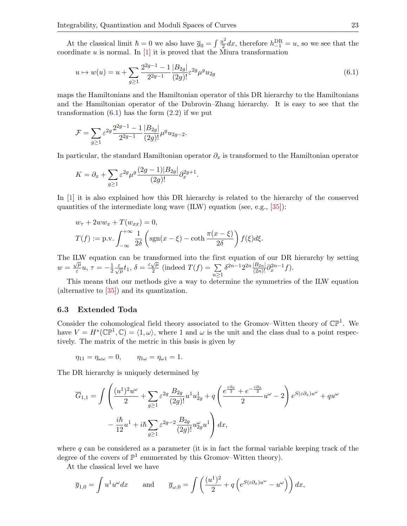At the classical limit  $\hbar = 0$  we also have  $\overline{g}_0 = \int \frac{u^2}{2}$  $\frac{u^2}{2}dx$ , therefore  $h_{-1}^{\text{DR}}=u$ , so we see that the coordinate  $u$  is normal. In [\[1\]](#page-27-0) it is proved that the Miura transformation

<span id="page-22-0"></span>
$$
u \mapsto w(u) = u + \sum_{g \ge 1} \frac{2^{2g-1} - 1}{2^{2g-1}} \frac{|B_{2g}|}{(2g)!} \varepsilon^{2g} \mu^g u_{2g}
$$
(6.1)

maps the Hamiltonians and the Hamiltonian operator of this DR hierarchy to the Hamiltonians and the Hamiltonian operator of the Dubrovin–Zhang hierarchy. It is easy to see that the transformation  $(6.1)$  has the form  $(2.2)$  if we put

$$
\mathcal{F}=\sum_{g\geq 1}\varepsilon^{2g}\frac{2^{2g-1}-1}{2^{2g-1}}\frac{|B_{2g}|}{(2g)!}\mu^gu_{2g-2}.
$$

In particular, the standard Hamiltonian operator  $\partial_x$  is transformed to the Hamiltonian operator

$$
K = \partial_x + \sum_{g \ge 1} \varepsilon^{2g} \mu^g \frac{(2g-1)|B_{2g}|}{(2g)!} \partial_x^{2g+1}.
$$

In [\[1\]](#page-27-0) it is also explained how this DR hierarchy is related to the hierarchy of the conserved quantities of the intermediate long wave (ILW) equation (see, e.g., [\[35\]](#page-28-20)):

$$
w_{\tau} + 2ww_x + T(w_{xx}) = 0,
$$
  
\n
$$
T(f) := \text{p.v.} \int_{-\infty}^{+\infty} \frac{1}{2\delta} \left( \text{sgn}(x - \xi) - \coth \frac{\pi(x - \xi)}{2\delta} \right) f(\xi) d\xi.
$$

The ILW equation can be transformed into the first equation of our DR hierarchy by setting  $w = \frac{\sqrt{\mu}}{s}$  $\frac{\pi}{\varepsilon}u, \, \tau = -\frac{1}{2}$  $\frac{1}{2} \frac{\varepsilon}{\sqrt{\mu}} t_1, \delta = \frac{\varepsilon \sqrt{\mu}}{2}$  $\frac{\sqrt{\mu}}{2}$  (indeed  $T(f) = \sum$  $n \geq 1$  $\delta^{2n-1} 2^{2n} \frac{|B_{2n}|}{(2n)!} \partial_x^{2n-1} f$ .

This means that our methods give a way to determine the symmetries of the ILW equation (alternative to [\[35\]](#page-28-20)) and its quantization.

#### 6.3 Extended Toda

Consider the cohomological field theory associated to the Gromov–Witten theory of  $\mathbb{CP}^1$ . We have  $V = H^*(\mathbb{CP}^1, \mathbb{C}) = \langle 1, \omega \rangle$ , where 1 and  $\omega$  is the unit and the class dual to a point respectively. The matrix of the metric in this basis is given by

$$
\eta_{11} = \eta_{\omega\omega} = 0, \qquad \eta_{1\omega} = \eta_{\omega 1} = 1.
$$

The DR hierarchy is uniquely determined by

$$
\overline{G}_{1,1} = \int \left( \frac{(u^1)^2 u^{\omega}}{2} + \sum_{g \ge 1} \varepsilon^{2g} \frac{B_{2g}}{(2g)!} u^1 u_{2g}^1 + q \left( \frac{e^{\frac{\varepsilon \partial_x}{2}} + e^{-\frac{\varepsilon \partial_x}{2}}}{2} u^{\omega} - 2 \right) e^{S(\varepsilon \partial_x) u^{\omega}} + q u^{\omega}
$$

$$
- \frac{i\hbar}{12} u^1 + i\hbar \sum_{g \ge 1} \varepsilon^{2g-2} \frac{B_{2g}}{(2g)!} u_{2g}^{\omega} u^1 \right) dx,
$$

where  $q$  can be considered as a parameter (it is in fact the formal variable keeping track of the degree of the covers of  $\mathbb{P}^1$  enumerated by this Gromov–Witten theory).

At the classical level we have

$$
\overline{g}_{1,0} = \int u^1 u^\omega dx
$$
 and  $\overline{g}_{\omega,0} = \int \left(\frac{(u^1)^2}{2} + q\left(e^{S(\varepsilon \partial_x)u^\omega} - u^\omega\right)\right) dx$ ,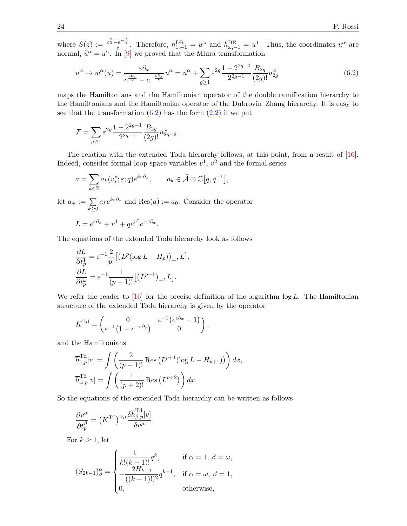where  $S(z) := \frac{e^{\frac{z}{2}} - e^{-\frac{z}{2}}}{z}$ . Therefore,  $h_{1,-1}^{DR} = u^{\omega}$  and  $h_{\omega,-1}^{DR} = u^1$ . Thus, the coordinates  $u^{\alpha}$  are normal,  $\tilde{u}^{\alpha} = u^{\alpha}$ . In [\[9\]](#page-27-5) we proved that the Miura transformation

<span id="page-23-0"></span>
$$
u^{\alpha} \mapsto w^{\alpha}(u) = \frac{\varepsilon \partial_x}{e^{\frac{\varepsilon \partial_x}{2}} - e^{-\frac{\varepsilon \partial_x}{2}}} u^{\alpha} = u^{\alpha} + \sum_{g \ge 1} \varepsilon^{2g} \frac{1 - 2^{2g - 1}}{2^{2g - 1}} \frac{B_{2g}}{(2g)!} u_{2g}^{\alpha}
$$
(6.2)

maps the Hamiltonians and the Hamiltonian operator of the double ramification hierarchy to the Hamiltonians and the Hamiltonian operator of the Dubrovin–Zhang hierarchy. It is easy to see that the transformation  $(6.2)$  has the form  $(2.2)$  if we put

$$
\mathcal{F} = \sum_{g \ge 1} \varepsilon^{2g} \frac{1 - 2^{2g - 1}}{2^{2g - 1}} \frac{B_{2g}}{(2g)!} u_{2g - 2}^{\omega}.
$$

The relation with the extended Toda hierarchy follows, at this point, from a result of [\[16\]](#page-28-16). Indeed, consider formal loop space variables  $v^1$ ,  $v^2$  and the formal series

$$
a = \sum_{k \in \mathbb{Z}} a_k(v_*^*; \varepsilon; q) e^{k\varepsilon \partial_x}, \qquad a_k \in \widehat{\mathcal{A}} \otimes \mathbb{C}[q, q^{-1}],
$$

let  $a_+ := \sum$  $k\geq 0$  $a_k e^{k \varepsilon \partial_x}$  and  $\text{Res}(a) := a_0$ . Consider the operator  $L = e^{\varepsilon \partial_x} + v^1 + q e^{v^2} e^{-\varepsilon \partial_x}.$ 

The equations of the extended Toda hierarchy look as follows

$$
\frac{\partial L}{\partial t_p^1} = \varepsilon^{-1} \frac{2}{p!} \left[ \left( L^p (\log L - H_p) \right)_+, L \right],
$$
  

$$
\frac{\partial L}{\partial t_p^{\omega}} = \varepsilon^{-1} \frac{1}{(p+1)!} \left[ \left( L^{p+1} \right)_+, L \right].
$$

We refer the reader to  $[16]$  for the precise definition of the logarithm log L. The Hamiltonian structure of the extended Toda hierarchy is given by the operator

$$
K^{\mathrm{Td}} = \begin{pmatrix} 0 & \varepsilon^{-1} \left( e^{\varepsilon \partial_x} - 1 \right) \\ \varepsilon^{-1} \left( 1 - e^{-\varepsilon \partial_x} \right) & 0 \end{pmatrix},
$$

and the Hamiltonians

$$
\overline{h}_{1,p}^{\text{Td}}[v] = \int \left( \frac{2}{(p+1)!} \operatorname{Res} \left( L^{p+1} (\log L - H_{p+1}) \right) \right) dx,
$$
  

$$
\overline{h}_{\omega,p}^{\text{Td}}[v] = \int \left( \frac{1}{(p+2)!} \operatorname{Res} \left( L^{p+2} \right) \right) dx.
$$

So the equations of the extended Toda hierarchy can be written as follows

$$
\frac{\partial v^{\alpha}}{\partial t^{\beta}_p} = (K^{\text{Td}})^{\alpha \mu} \frac{\delta \overline{h}^{\text{Td}}_{\beta,p}[v]}{\delta v^{\mu}}.
$$

For  $k \geq 1$ , let

$$
(S_{2k-1})^{\alpha}_{\beta} = \begin{cases} \frac{1}{k!(k-1)!}q^k, & \text{if } \alpha = 1, \beta = \omega, \\ -\frac{2H_{k-1}}{((k-1)!)^2}q^{k-1}, & \text{if } \alpha = \omega, \beta = 1, \\ 0, & \text{otherwise,} \end{cases}
$$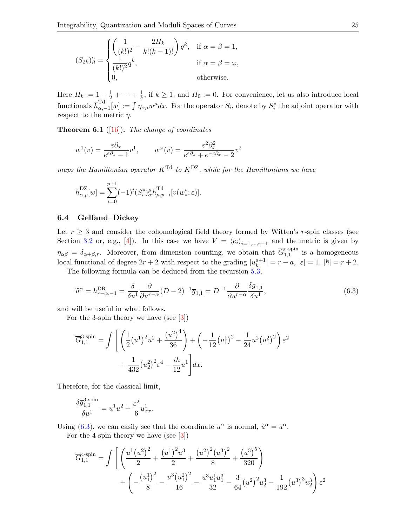$$
(S_{2k})^{\alpha}_{\beta} = \begin{cases} \left(\frac{1}{(k!)^2} - \frac{2H_k}{k!(k-1)!}\right) q^k, & \text{if } \alpha = \beta = 1, \\ \frac{1}{(k!)^2} q^k, & \text{if } \alpha = \beta = \omega, \\ 0, & \text{otherwise.} \end{cases}
$$

Here  $H_k := 1 + \frac{1}{2} + \cdots + \frac{1}{k}$  $\frac{1}{k}$ , if  $k \geq 1$ , and  $H_0 := 0$ . For convenience, let us also introduce local functionals  $\overline{h}_{\alpha,+}^{\text{Td}}$  $\int_{\alpha,-1}^{\alpha} [w] := \int \eta_{\alpha\mu} w^{\mu} dx$ . For the operator  $S_i$ , denote by  $S_i^*$  the adjoint operator with respect to the metric  $\eta$ .

**Theorem 6.1** ([\[16\]](#page-28-16)). The change of coordinates

$$
w^{1}(v) = \frac{\varepsilon \partial_{x}}{e^{\varepsilon \partial_{x}} - 1} v^{1}, \qquad w^{\omega}(v) = \frac{\varepsilon^{2} \partial_{x}^{2}}{e^{\varepsilon \partial_{x}} + e^{-\varepsilon \partial_{x}} - 2} v^{2}
$$

maps the Hamiltonian operator  $K^{Td}$  to  $K^{DZ}$ , while for the Hamiltonians we have

$$
\overline{h}_{\alpha,p}^{\text{DZ}}[w]=\sum_{i=0}^{p+1}(-1)^i(S_i^*)_{\alpha}^{\mu}\overline{h}_{\mu,p-i}^{\text{Td}}[v(w^*_*;\varepsilon)].
$$

#### 6.4 Gelfand–Dickey

Let  $r \geq 3$  and consider the cohomological field theory formed by Witten's r-spin classes (see Section [3.2](#page-9-0) or, e.g., [\[4\]](#page-27-14)). In this case we have  $V = \langle e_i \rangle_{i=1,\dots,r-1}$  and the metric is given by  $\eta_{\alpha\beta} = \delta_{\alpha+\beta,r}$ . Moreover, from dimension counting, we obtain that  $\overline{G}_{1,1}^{r\text{-spin}}$  $_{1,1}^{1,\text{spin}}$  is a homogeneous local functional of degree  $2r + 2$  with respect to the grading  $|u_k^{a+1}|$  $|a_k^{a+1}| = r - a, |\varepsilon| = 1, |\hbar| = r + 2.$ 

The following formula can be deduced from the recursion [5.3,](#page-15-0)

<span id="page-24-0"></span>
$$
\widetilde{u}^{\alpha} = h_{r-\alpha,-1}^{\text{DR}} = \frac{\delta}{\delta u^1} \frac{\partial}{\partial u^{r-\alpha}} (D-2)^{-1} \overline{g}_{1,1} = D^{-1} \frac{\partial}{\partial u^{r-\alpha}} \frac{\delta \overline{g}_{1,1}}{\delta u^1},\tag{6.3}
$$

and will be useful in what follows.

For the 3-spin theory we have (see [\[3\]](#page-27-2))

$$
\overline{G}_{1,1}^{3\text{-spin}} = \int \left[ \left( \frac{1}{2} (u^1)^2 u^2 + \frac{(u^2)^4}{36} \right) + \left( -\frac{1}{12} (u_1^1)^2 - \frac{1}{24} u^2 (u_1^2)^2 \right) \varepsilon^2 + \frac{1}{432} (u_2^2)^2 \varepsilon^4 - \frac{i\hbar}{12} u^1 \right] dx.
$$

Therefore, for the classical limit,

$$
\frac{\delta \overline{g}^{3\text{-spin}}_{1,1}}{\delta u^1} = u^1 u^2 + \frac{\varepsilon^2}{6} u^1_{xx}.
$$

Using [\(6.3\)](#page-24-0), we can easily see that the coordinate  $u^{\alpha}$  is normal,  $\tilde{u}^{\alpha} = u^{\alpha}$ .<br>Ear the 4 spin theory we have (see [3]).

For the 4-spin theory we have (see [\[3\]](#page-27-2))

$$
\overline{G}_{1,1}^{4\text{-spin}} = \int \left[ \left( \frac{u^1 (u^2)^2}{2} + \frac{(u^1)^2 u^3}{2} + \frac{(u^2)^2 (u^3)^2}{8} + \frac{(u^3)^5}{320} \right) + \left( -\frac{(u_1^1)^2}{8} - \frac{u^3 (u_1^2)^2}{16} - \frac{u^3 u_1^1 u_1^3}{32} + \frac{3}{64} (u^2)^2 u_2^3 + \frac{1}{192} (u^3)^3 u_2^3 \right) \varepsilon^2
$$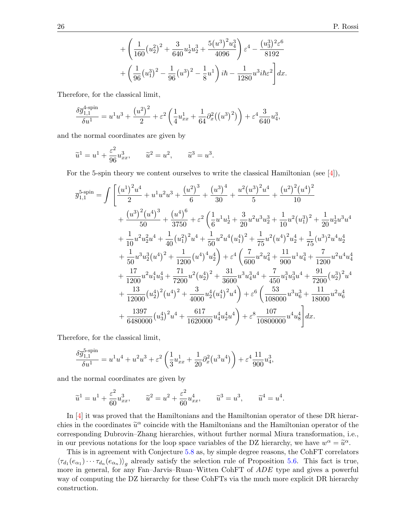$$
+\left(\frac{1}{160}(u_2^2)^2 + \frac{3}{640}u_2^1u_2^3 + \frac{5(u^3)^2u_4^3}{4096}\right)\varepsilon^4 - \frac{(u_3^3)^2\varepsilon^6}{8192} + \left(\frac{1}{96}(u_1^3)^2 - \frac{1}{96}(u^3)^2 - \frac{1}{8}u^1\right)i\hbar - \frac{1}{1280}u^3i\hbar\varepsilon^2\bigg]dx.
$$

Therefore, for the classical limit,

$$
\frac{\delta \overline{g}_{1,1}^{4\text{-spin}}}{\delta u^1} = u^1 u^3 + \frac{(u^2)^2}{2} + \varepsilon^2 \left(\frac{1}{4} u_{xx}^1 + \frac{1}{64} \partial_x^2 ((u^3)^2)\right) + \varepsilon^4 \frac{3}{640} u_4^3,
$$

and the normal coordinates are given by

$$
\widetilde{u}^1 = u^1 + \frac{\varepsilon^2}{96} u_{xx}^3, \qquad \widetilde{u}^2 = u^2, \qquad \widetilde{u}^3 = u^3.
$$

For the 5-spin theory we content ourselves to write the classical Hamiltonian (see  $[4]$ ),

$$
\overline{g}_{1,1}^{5\text{-spin}} = \int \left[ \frac{(u^1)^2 u^4}{2} + u^1 u^2 u^3 + \frac{(u^2)^3}{6} + \frac{(u^3)^4}{30} + \frac{u^2 (u^3)^2 u^4}{5} + \frac{(u^2)^2 (u^4)^2}{10} \right. \\
\left. + \frac{(u^3)^2 (u^4)^3}{50} + \frac{(u^4)^6}{3750} + \varepsilon^2 \left( \frac{1}{6} u^1 u_2^1 + \frac{3}{20} u^2 u^3 u_2^3 + \frac{1}{10} u^2 (u_1^3)^2 + \frac{1}{20} u_2^1 u^3 u^4 \right. \\
\left. + \frac{1}{10} u^2 u_2^2 u^4 + \frac{1}{40} (u_1^2)^2 u^4 + \frac{1}{50} u^2 u^4 (u_1^4)^2 + \frac{1}{75} u^2 (u^4)^2 u_2^4 + \frac{1}{75} (u^3)^2 u^4 u_2^4 \right. \\
\left. + \frac{1}{50} u^3 u_2^3 (u^4)^2 + \frac{1}{1200} (u^4)^4 u_2^4 \right) + \varepsilon^4 \left( \frac{7}{600} u^2 u_4^2 + \frac{11}{900} u^1 u_4^3 + \frac{7}{1200} u^2 u^4 u_4^4 \right. \\
\left. + \frac{17}{1200} u^2 u_1^4 u_3^4 + \frac{71}{7200} u^2 (u_2^4)^2 + \frac{31}{3600} u^3 u_4^3 u^4 + \frac{7}{450} u_1^3 u_3^3 u^4 + \frac{91}{7200} (u_2^3)^2 u^4 \right. \\
\left. + \frac{13}{12000} (u_2^4)^2 (u^4)^2 + \frac{3}{4000} u_2^4 (u_1^4)^2 u^4 \right) + \varepsilon^6 \left( \frac{53}{108000} u^3 u_6^3 + \frac{11}{18000} u^2 u_6^4 \right. \\
\left. + \frac{1397}{6480000} (u_3^4)^2 u^4 + \frac{617}{16
$$

Therefore, for the classical limit,

$$
\frac{\delta \overline{g}_{1,1}^{5\text{-spin}}}{\delta u^1} = u^1 u^4 + u^2 u^3 + \varepsilon^2 \left( \frac{1}{3} u_{xx}^1 + \frac{1}{20} \partial_x^2 (u^3 u^4) \right) + \varepsilon^4 \frac{11}{900} u_4^3,
$$

and the normal coordinates are given by

$$
\tilde{u}^1 = u^1 + \frac{\varepsilon^2}{60} u_{xx}^3
$$
,  $\tilde{u}^2 = u^2 + \frac{\varepsilon^2}{60} u_{xx}^4$ ,  $\tilde{u}^3 = u^3$ ,  $\tilde{u}^4 = u^4$ .

In [\[4\]](#page-27-14) it was proved that the Hamiltonians and the Hamiltonian operator of these DR hierarchies in the coordinates  $\tilde{u}^{\alpha}$  coincide with the Hamiltonians and the Hamiltonian operator of the corresponding Dubrevin,  $\tilde{z}$  being hierarchies, without further normal Miure transformation, i.e. corresponding Dubrovin–Zhang hierarchies, without further normal Miura transformation, i.e., in our previous notations for the loop space variables of the DZ hierarchy, we have  $w^{\alpha} = \tilde{u}^{\alpha}$ .<br>This is in agreement with Conjecture 5.8 as by simple degree reasons, the CohET correlate

This is in agreement with Conjecture [5.8](#page-17-1) as, by simple degree reasons, the CohFT correlators  $\langle \tau_{d_1}(e_{\alpha_1})\cdots \tau_{d_n}(e_{\alpha_n})\rangle_g$  already satisfy the selection rule of Proposition [5.6.](#page-16-0) This fact is true, more in general, for any Fan–Jarvis–Ruan–Witten CohFT of ADE type and gives a powerful way of computing the DZ hierarchy for these CohFTs via the much more explicit DR hierarchy construction.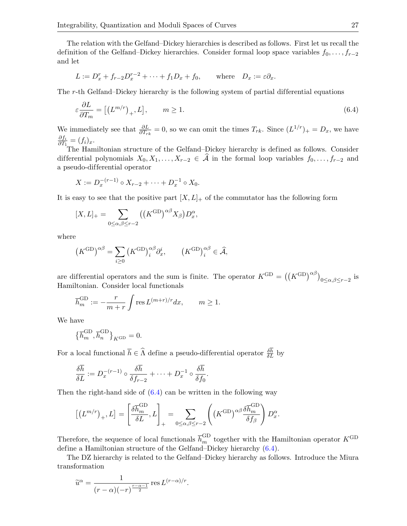The relation with the Gelfand–Dickey hierarchies is described as follows. First let us recall the definition of the Gelfand–Dickey hierarchies. Consider formal loop space variables  $f_0, \ldots, f_{r-2}$ and let

$$
L := D_x^r + f_{r-2}D_x^{r-2} + \dots + f_1D_x + f_0, \quad \text{where} \quad D_x := \varepsilon \partial_x.
$$

The r-th Gelfand–Dickey hierarchy is the following system of partial differential equations

<span id="page-26-0"></span>
$$
\varepsilon \frac{\partial L}{\partial T_m} = \left[ \left( L^{m/r} \right)_+, L \right], \qquad m \ge 1. \tag{6.4}
$$

We immediately see that  $\frac{\partial L}{\partial T_{rk}} = 0$ , so we can omit the times  $T_{rk}$ . Since  $(L^{1/r})_{+} = D_x$ , we have  $\partial f_i$  $\frac{\partial f_i}{\partial T_1} = (f_i)_x.$ 

The Hamiltonian structure of the Gelfand–Dickey hierarchy is defined as follows. Consider differential polynomials  $X_0, X_1, \ldots, X_{r-2} \in \widehat{A}$  in the formal loop variables  $f_0, \ldots, f_{r-2}$  and a pseudo-dif ferential operator

$$
X := D_x^{-(r-1)} \circ X_{r-2} + \cdots + D_x^{-1} \circ X_0.
$$

It is easy to see that the positive part  $[X, L]_+$  of the commutator has the following form

$$
[X,L]_+ = \sum_{0 \le \alpha,\beta \le r-2} ((K^{\text{GD}})^{\alpha\beta} X_{\beta}) D_x^{\alpha},
$$

where

$$
(K^{\text{GD}})^{\alpha \beta} = \sum_{i \ge 0} (K^{\text{GD}})^{\alpha \beta}_i \partial_x^i, \qquad (K^{\text{GD}})^{\alpha \beta}_i \in \widehat{\mathcal{A}},
$$

are differential operators and the sum is finite. The operator  $K^{GD} = ((K^{GD})^{\alpha\beta})_{0 \leq \alpha,\beta \leq r-2}$  is Hamiltonian. Consider local functionals

$$
\overline{h}_m^{\text{GD}} := -\frac{r}{m+r} \int \text{res } L^{(m+r)/r} dx, \qquad m \ge 1.
$$

We have

$$
\big\{\overline{h}^{\mathrm{GD}}_m, \overline{h}^{\mathrm{GD}}_n\big\}_{K^{\mathrm{GD}}}=0.
$$

For a local functional  $\overline{h} \in \widehat{\Lambda}$  define a pseudo-differential operator  $\frac{\delta h}{\delta L}$  by

$$
\frac{\delta \overline{h}}{\delta L} := D_x^{-(r-1)} \circ \frac{\delta \overline{h}}{\delta f_{r-2}} + \dots + D_x^{-1} \circ \frac{\delta \overline{h}}{\delta f_0}
$$

Then the right-hand side of  $(6.4)$  can be written in the following way

$$
\left[\left(L^{m/r}\right)_+,L\right] = \left[\frac{\delta \overline{h}_m^{\rm GD}}{\delta L},L\right]_+ = \sum_{0 \le \alpha,\beta \le r-2} \left(\left(K^{\rm GD}\right)^{\alpha\beta} \frac{\delta \overline{h}_m^{\rm GD}}{\delta f_\beta}\right) D_x^{\alpha}.
$$

Therefore, the sequence of local functionals  $\overline{h}_m^{\rm GD}$  together with the Hamiltonian operator  $K^{\rm GD}$ define a Hamiltonian structure of the Gelfand–Dickey hierarchy [\(6.4\)](#page-26-0).

.

The DZ hierarchy is related to the Gelfand–Dickey hierarchy as follows. Introduce the Miura transformation

$$
\widetilde{u}^{\alpha} = \frac{1}{(r - \alpha)(-r)^{\frac{r - \alpha - 1}{2}}}
$$
 res  $L^{(r - \alpha)/r}$ .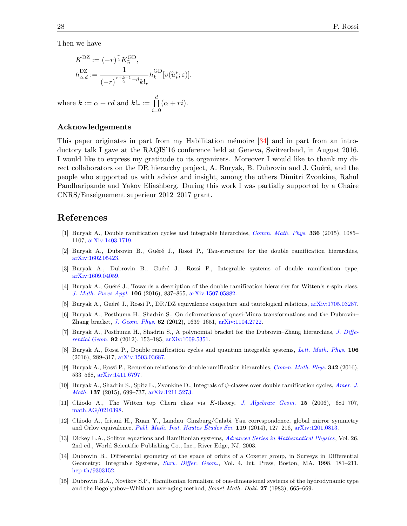Then we have

$$
K^{\text{DZ}} := (-r)^{\frac{r}{2}} K^{\text{GD}}_{\widetilde{u}},
$$
  

$$
\overline{h}^{\text{DZ}}_{\alpha,d} := \frac{1}{(-r)^{\frac{r+k-1}{2}-d} k!_r} \overline{h}^{\text{GD}}_k[v(\widetilde{u}^*_{*}; \varepsilon)],
$$

where  $k := \alpha + rd$  and  $k!_r := \prod^d$  $i=0$  $(\alpha + ri).$ 

#### Acknowledgements

This paper originates in part from my Habilitation mémoire  $[34]$  and in part from an introductory talk I gave at the RAQIS'16 conference held at Geneva, Switzerland, in August 2016. I would like to express my gratitude to its organizers. Moreover I would like to thank my direct collaborators on the DR hierarchy project, A. Buryak, B. Dubrovin and J. Guéré, and the people who supported us with advice and insight, among the others Dimitri Zvonkine, Rahul Pandharipande and Yakov Eliashberg. During this work I was partially supported by a Chaire CNRS/Enseignement superieur 2012–2017 grant.

## References

- <span id="page-27-0"></span>[1] Buryak A., Double ramification cycles and integrable hierarchies, [Comm. Math. Phys.](https://doi.org/10.1007/s00220-014-2235-2) 336 (2015), 1085– 1107, [arXiv:1403.1719.](https://arxiv.org/abs/1403.1719)
- <span id="page-27-1"></span>[2] Buryak A., Dubrovin B., Guéré J., Rossi P., Tau-structure for the double ramification hierarchies, [arXiv:1602.05423.](https://arxiv.org/abs/1602.05423)
- <span id="page-27-2"></span>[3] Buryak A., Dubrovin B., Guéré J., Rossi P., Integrable systems of double ramification type, [arXiv:1609.04059.](https://arxiv.org/abs/1609.04059)
- <span id="page-27-14"></span>[4] Buryak A., Guéré J., Towards a description of the double ramification hierarchy for Witten's r-spin class, [J. Math. Pures Appl.](https://doi.org/10.1016/j.matpur.2016.03.013) 106 (2016), 837–865, [arXiv:1507.05882.](https://arxiv.org/abs/1507.05882)
- <span id="page-27-3"></span>[5] Buryak A., Guéré J., Rossi P., DR/DZ equivalence conjecture and tautological relations, [arXiv:1705.03287.](https://arxiv.org/abs/1705.03287)
- <span id="page-27-10"></span>[6] Buryak A., Posthuma H., Shadrin S., On deformations of quasi-Miura transformations and the Dubrovin– Zhang bracket, [J. Geom. Phys.](https://doi.org/10.1016/j.geomphys.2012.03.006) 62 (2012), 1639–1651, [arXiv:1104.2722.](https://arxiv.org/abs/1104.2722)
- <span id="page-27-11"></span>[7] Buryak A., Posthuma H., Shadrin S., A polynomial bracket for the Dubrovin–Zhang hierarchies, [J. Diffe](https://doi.org/10.4310/jdg/1352211225)[rential Geom.](https://doi.org/10.4310/jdg/1352211225) 92 (2012), 153–185, [arXiv:1009.5351.](https://arxiv.org/abs/1009.5351)
- <span id="page-27-4"></span>[8] Buryak A., Rossi P., Double ramification cycles and quantum integrable systems, [Lett. Math. Phys.](https://doi.org/10.1007/s11005-015-0814-6) 106 (2016), 289–317, [arXiv:1503.03687.](https://arxiv.org/abs/1503.03687)
- <span id="page-27-5"></span>[9] Buryak A., Rossi P., Recursion relations for double ramification hierarchies, [Comm. Math. Phys.](https://doi.org/10.1007/s00220-015-2535-1) 342 (2016), 533–568, [arXiv:1411.6797.](https://arxiv.org/abs/1411.6797)
- <span id="page-27-12"></span>[10] Buryak A., Shadrin S., Spitz L., Zvonkine D., Integrals of  $\psi$ -classes over double ramification cycles, [Amer. J.](https://doi.org/10.1353/ajm.2015.0022) [Math.](https://doi.org/10.1353/ajm.2015.0022) 137 (2015), 699–737, [arXiv:1211.5273.](https://arxiv.org/abs/1211.5273)
- <span id="page-27-8"></span>[11] Chiodo A., The Witten top Chern class via K-theory, [J. Algebraic Geom.](https://doi.org/10.1090/S1056-3911-06-00444-9) 15 (2006), 681–707, [math.AG/0210398.](https://arxiv.org/abs/math.AG/0210398)
- <span id="page-27-9"></span>[12] Chiodo A., Iritani H., Ruan Y., Landau–Ginzburg/Calabi–Yau correspondence, global mirror symmetry and Orlov equivalence, [Publ. Math. Inst. Hautes](https://doi.org/10.1007/s10240-013-0056-z) Études Sci.  $119$  (2014), 127–216, [arXiv:1201.0813.](https://arxiv.org/abs/1201.0813)
- <span id="page-27-7"></span>[13] Dickey L.A., Soliton equations and Hamiltonian systems, [Advanced Series in Mathematical Physics](https://doi.org/10.1142/5108), Vol. 26, 2nd ed., World Scientific Publishing Co., Inc., River Edge, NJ, 2003.
- <span id="page-27-13"></span>[14] Dubrovin B., Dif ferential geometry of the space of orbits of a Coxeter group, in Surveys in Differential Geometry: Integrable Systems, [Surv. Differ. Geom.](https://doi.org/10.4310/SDG.1998.v4.n1.a4), Vol. 4, Int. Press, Boston, MA, 1998, 181–211, [hep-th/9303152.](https://arxiv.org/abs/hep-th/9303152)
- <span id="page-27-6"></span>[15] Dubrovin B.A., Novikov S.P., Hamiltonian formalism of one-dimensional systems of the hydrodynamic type and the Bogolyubov–Whitham averaging method, Soviet Math. Dokl. 27 (1983), 665–669.